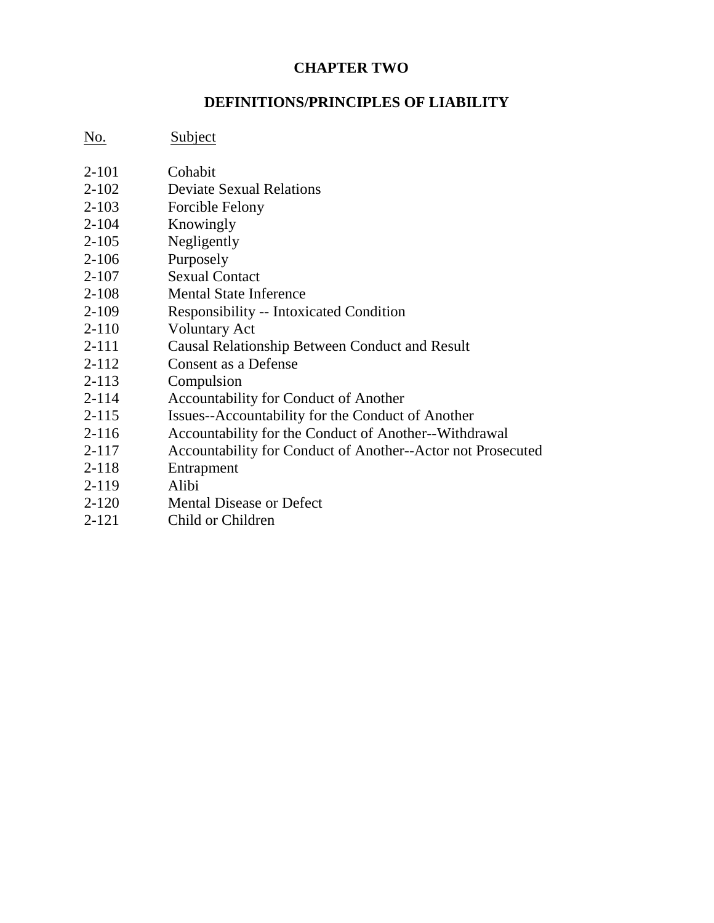# **CHAPTER TWO**

#### **DEFINITIONS/PRINCIPLES OF LIABILITY**

No. Subject

- 2-101 Cohabit
- 2-102 Deviate Sexual Relations
- 2-103 Forcible Felony
- 2-104 Knowingly
- 2-105 Negligently
- 2-106 Purposely
- 2-107 Sexual Contact
- 2-108 Mental State Inference
- 2-109 Responsibility -- Intoxicated Condition
- 2-110 Voluntary Act
- 2-111 Causal Relationship Between Conduct and Result
- 2-112 Consent as a Defense
- 2-113 Compulsion
- 2-114 Accountability for Conduct of Another
- 2-115 Issues--Accountability for the Conduct of Another
- 2-116 Accountability for the Conduct of Another--Withdrawal
- 2-117 Accountability for Conduct of Another--Actor not Prosecuted
- 2-118 Entrapment
- 2-119 Alibi
- 2-120 Mental Disease or Defect
- 2-121 Child or Children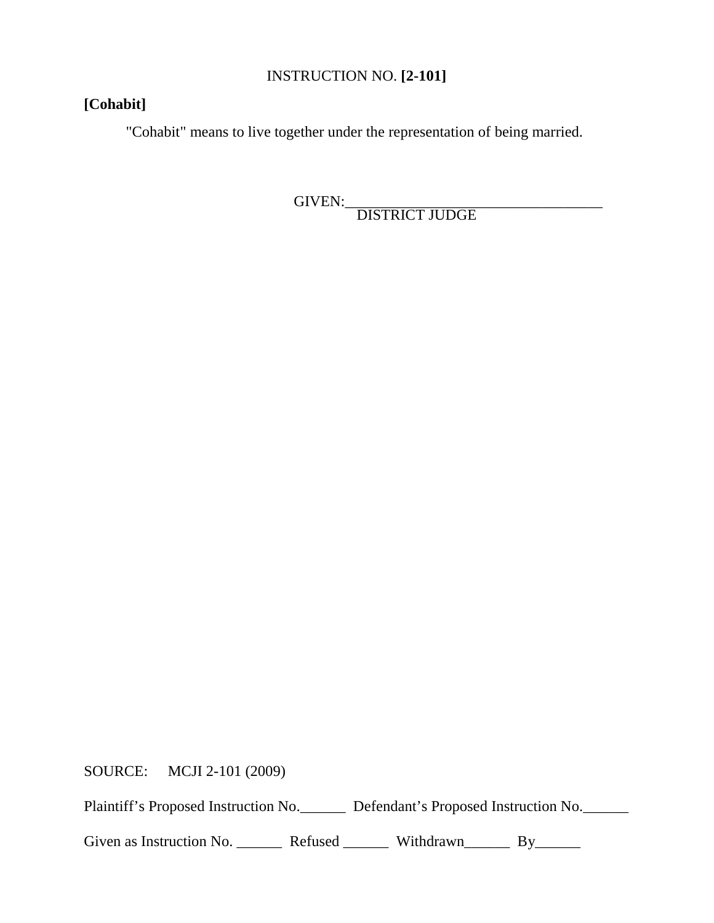# INSTRUCTION NO. **[2-101]**

# **[Cohabit]**

"Cohabit" means to live together under the representation of being married.

GIVEN:\_\_\_\_\_\_\_\_\_\_\_\_\_\_\_\_\_\_\_\_\_\_\_\_\_\_\_\_\_\_\_\_\_\_ DISTRICT JUDGE

SOURCE: MCJI 2-101 (2009)

Plaintiff's Proposed Instruction No. Defendant's Proposed Instruction No.

Given as Instruction No. \_\_\_\_\_\_\_\_ Refused \_\_\_\_\_\_\_ Withdrawn\_\_\_\_\_\_\_ By\_\_\_\_\_\_\_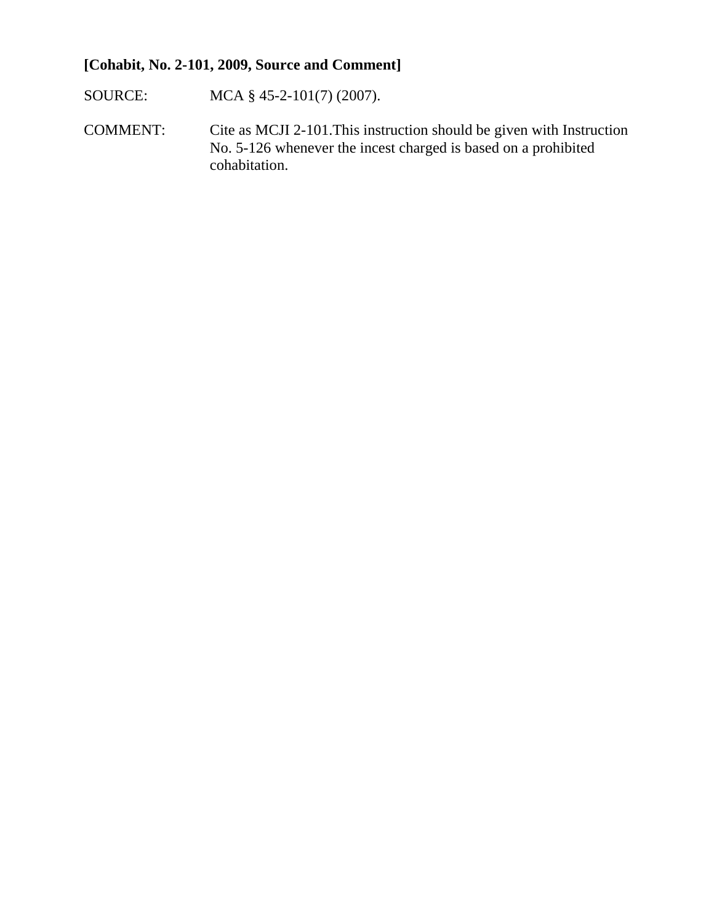# **[Cohabit, No. 2-101, 2009, Source and Comment]**

- SOURCE: MCA § 45-2-101(7) (2007).
- COMMENT: Cite as MCJI 2-101.This instruction should be given with Instruction No. 5-126 whenever the incest charged is based on a prohibited cohabitation.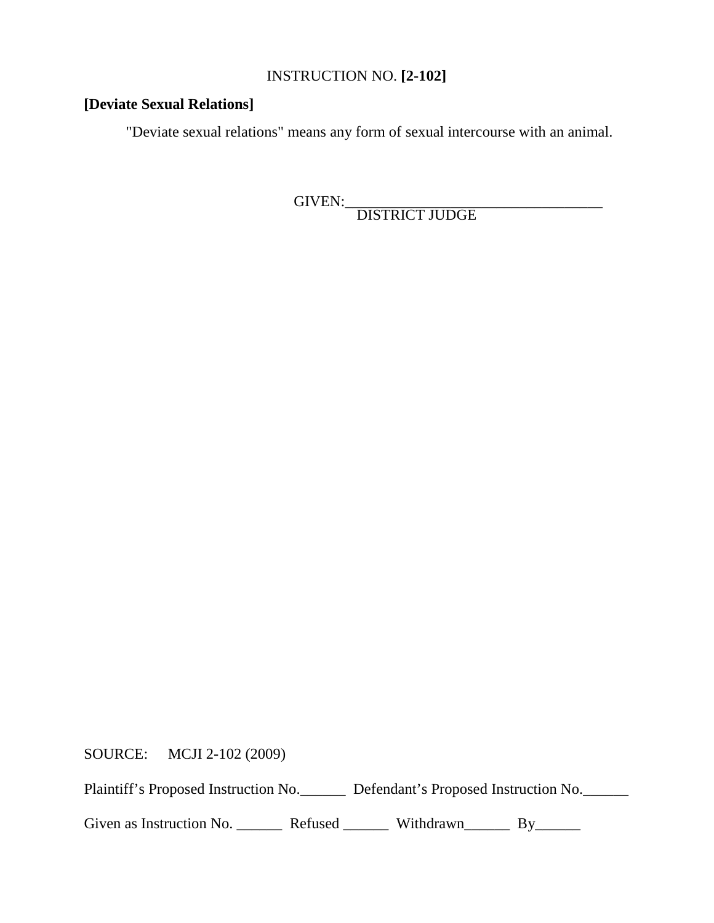# INSTRUCTION NO. **[2-102]**

# **[Deviate Sexual Relations]**

"Deviate sexual relations" means any form of sexual intercourse with an animal.

GIVEN:\_\_\_\_\_\_\_\_\_\_\_\_\_\_\_\_\_\_\_\_\_\_\_\_\_\_\_\_\_\_\_\_\_\_ DISTRICT JUDGE

SOURCE: MCJI 2-102 (2009)

Plaintiff's Proposed Instruction No. Defendant's Proposed Instruction No.

Given as Instruction No. \_\_\_\_\_\_\_\_ Refused \_\_\_\_\_\_\_\_ Withdrawn\_\_\_\_\_\_\_ By\_\_\_\_\_\_\_\_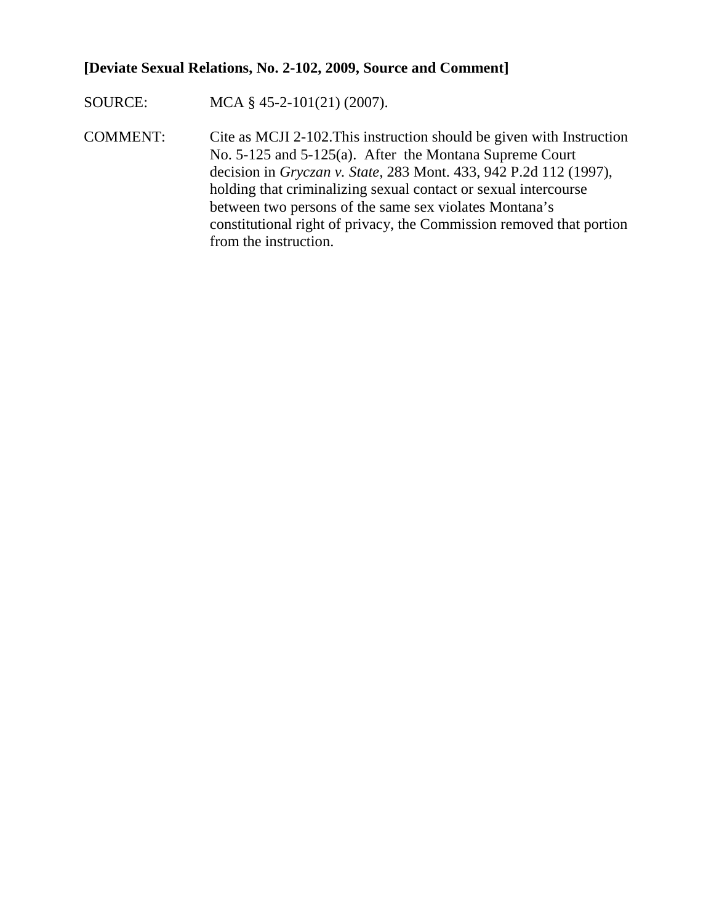# **[Deviate Sexual Relations, No. 2-102, 2009, Source and Comment]**

SOURCE: MCA § 45-2-101(21) (2007).

COMMENT: Cite as MCJI 2-102.This instruction should be given with Instruction No. 5-125 and 5-125(a). After the Montana Supreme Court decision in *Gryczan v. State,* 283 Mont. 433, 942 P.2d 112 (1997), holding that criminalizing sexual contact or sexual intercourse between two persons of the same sex violates Montana's constitutional right of privacy, the Commission removed that portion from the instruction.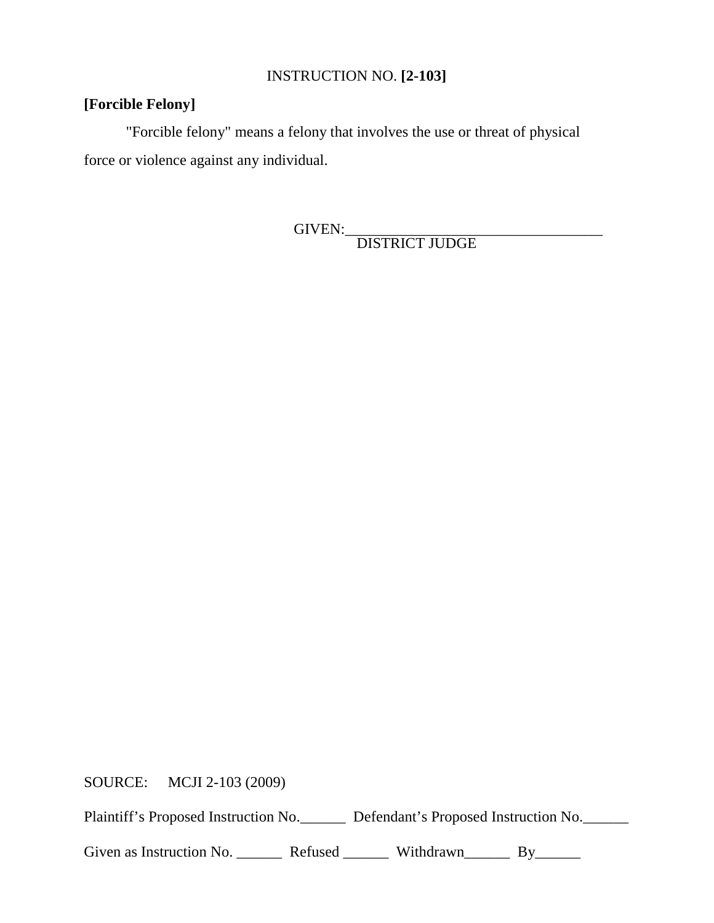# INSTRUCTION NO. **[2-103]**

# **[Forcible Felony]**

"Forcible felony" means a felony that involves the use or threat of physical force or violence against any individual.

GIVEN:\_\_\_\_\_\_\_\_\_\_\_\_\_\_\_\_\_\_\_\_\_\_\_\_\_\_\_\_\_\_\_\_\_\_ DISTRICT JUDGE

SOURCE: MCJI 2-103 (2009)

Plaintiff's Proposed Instruction No. Defendant's Proposed Instruction No.

Given as Instruction No. \_\_\_\_\_\_\_\_ Refused \_\_\_\_\_\_\_ Withdrawn\_\_\_\_\_\_\_ By\_\_\_\_\_\_\_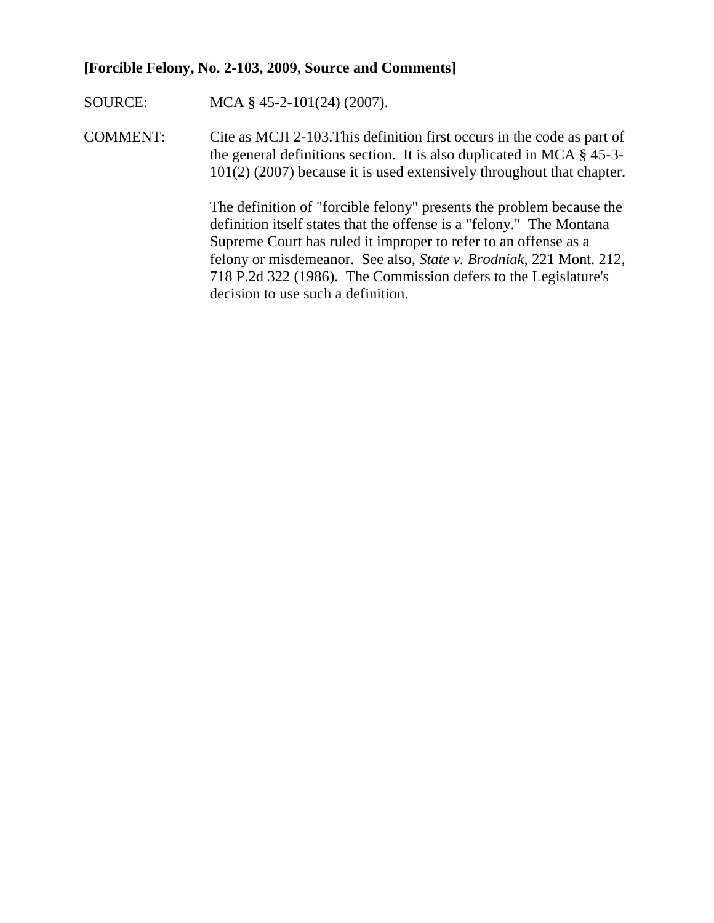#### **[Forcible Felony, No. 2-103, 2009, Source and Comments]**

SOURCE: MCA § 45-2-101(24) (2007).

COMMENT: Cite as MCJI 2-103.This definition first occurs in the code as part of the general definitions section. It is also duplicated in MCA § 45-3- 101(2) (2007) because it is used extensively throughout that chapter.

> The definition of "forcible felony" presents the problem because the definition itself states that the offense is a "felony." The Montana Supreme Court has ruled it improper to refer to an offense as a felony or misdemeanor. See also, *State v. Brodniak*, 221 Mont. 212, 718 P.2d 322 (1986). The Commission defers to the Legislature's decision to use such a definition.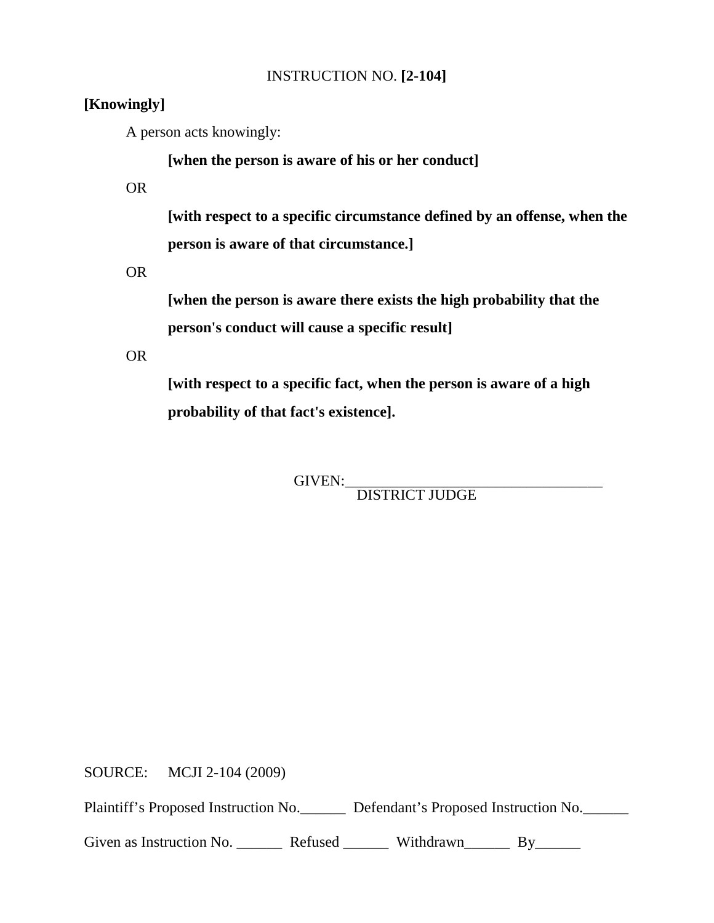## INSTRUCTION NO. **[2-104]**

# **[Knowingly]**

A person acts knowingly:

**[when the person is aware of his or her conduct]** 

OR

**[with respect to a specific circumstance defined by an offense, when the person is aware of that circumstance.]** 

OR

**[when the person is aware there exists the high probability that the person's conduct will cause a specific result]**

OR

**[with respect to a specific fact, when the person is aware of a high probability of that fact's existence].**

GIVEN:\_\_\_\_\_\_\_\_\_\_\_\_\_\_\_\_\_\_\_\_\_\_\_\_\_\_\_\_\_\_\_\_\_\_ DISTRICT JUDGE

SOURCE: MCJI 2-104 (2009)

Plaintiff's Proposed Instruction No. Defendant's Proposed Instruction No.

Given as Instruction No. \_\_\_\_\_\_\_\_ Refused \_\_\_\_\_\_\_ Withdrawn\_\_\_\_\_\_ By\_\_\_\_\_\_\_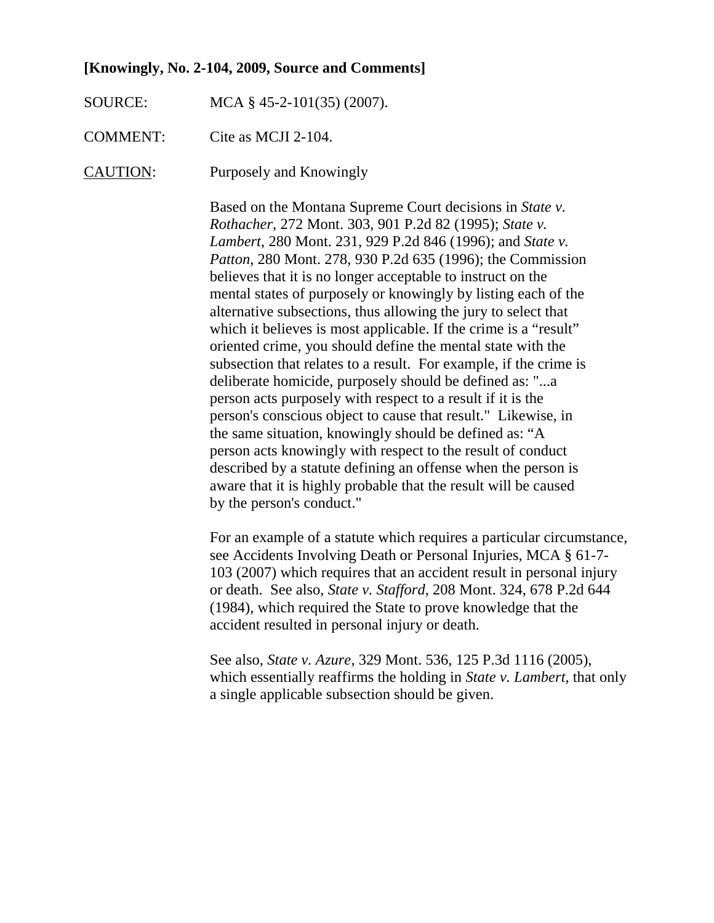#### **[Knowingly, No. 2-104, 2009, Source and Comments]**

SOURCE: MCA § 45-2-101(35) (2007).

COMMENT: Cite as MCJI 2-104.

CAUTION: Purposely and Knowingly

Based on the Montana Supreme Court decisions in *State v. Rothacher*, 272 Mont. 303, 901 P.2d 82 (1995); *State v. Lambert*, 280 Mont. 231, 929 P.2d 846 (1996); and *State v. Patton*, 280 Mont. 278, 930 P.2d 635 (1996); the Commission believes that it is no longer acceptable to instruct on the mental states of purposely or knowingly by listing each of the alternative subsections, thus allowing the jury to select that which it believes is most applicable. If the crime is a "result" oriented crime, you should define the mental state with the subsection that relates to a result. For example, if the crime is deliberate homicide, purposely should be defined as: "...a person acts purposely with respect to a result if it is the person's conscious object to cause that result." Likewise, in the same situation, knowingly should be defined as: "A person acts knowingly with respect to the result of conduct described by a statute defining an offense when the person is aware that it is highly probable that the result will be caused by the person's conduct."

For an example of a statute which requires a particular circumstance, see Accidents Involving Death or Personal Injuries, MCA § 61-7- 103 (2007) which requires that an accident result in personal injury or death. See also, *State v. Stafford*, 208 Mont. 324, 678 P.2d 644 (1984), which required the State to prove knowledge that the accident resulted in personal injury or death.

See also, *State v. Azure*, 329 Mont. 536, 125 P.3d 1116 (2005), which essentially reaffirms the holding in *State v. Lambert,* that only a single applicable subsection should be given.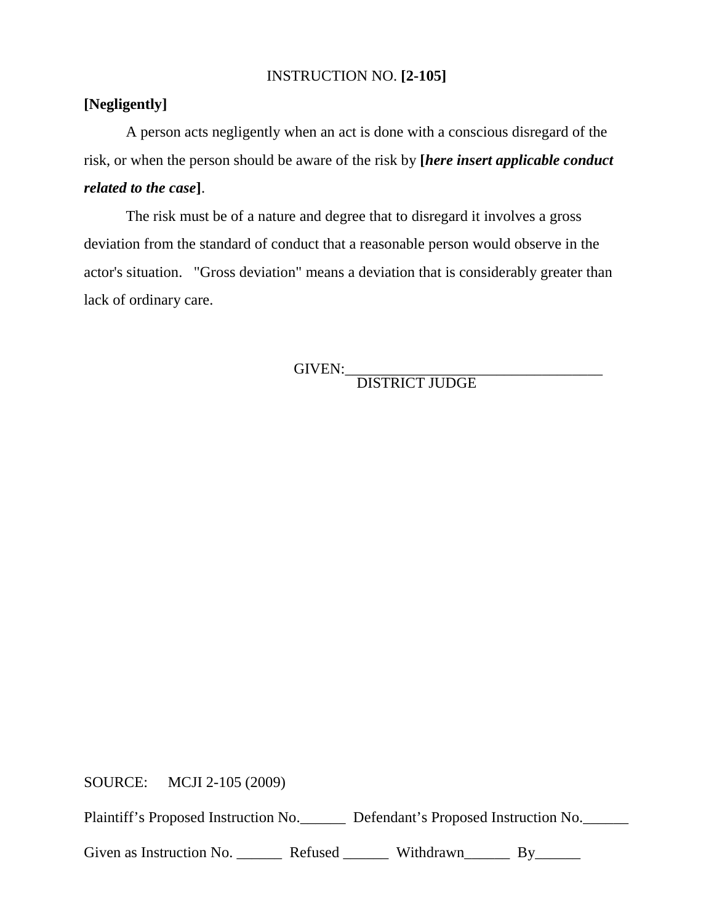#### INSTRUCTION NO. **[2-105]**

# **[Negligently]**

A person acts negligently when an act is done with a conscious disregard of the risk, or when the person should be aware of the risk by **[***here insert applicable conduct related to the case***]**.

The risk must be of a nature and degree that to disregard it involves a gross deviation from the standard of conduct that a reasonable person would observe in the actor's situation. "Gross deviation" means a deviation that is considerably greater than lack of ordinary care.

GIVEN:\_\_\_\_\_\_\_\_\_\_\_\_\_\_\_\_\_\_\_\_\_\_\_\_\_\_\_\_\_\_\_\_\_\_ DISTRICT JUDGE

SOURCE: MCJI 2-105 (2009)

Plaintiff's Proposed Instruction No. Defendant's Proposed Instruction No.

Given as Instruction No. \_\_\_\_\_\_\_\_ Refused \_\_\_\_\_\_\_ Withdrawn\_\_\_\_\_\_\_ By\_\_\_\_\_\_\_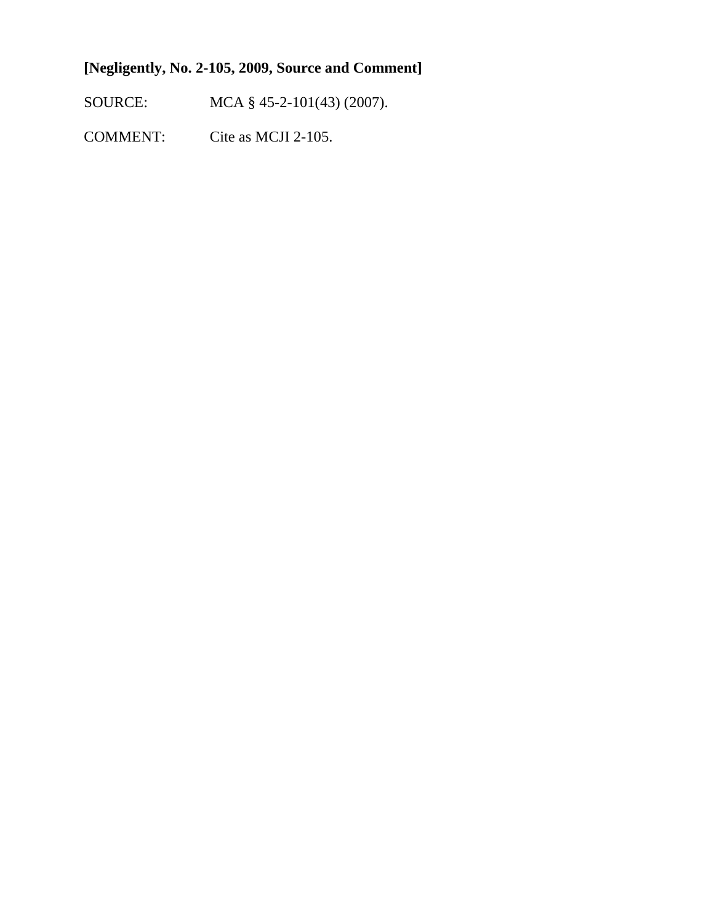# **[Negligently, No. 2-105, 2009, Source and Comment]**

SOURCE: MCA § 45-2-101(43) (2007).

COMMENT: Cite as MCJI 2-105.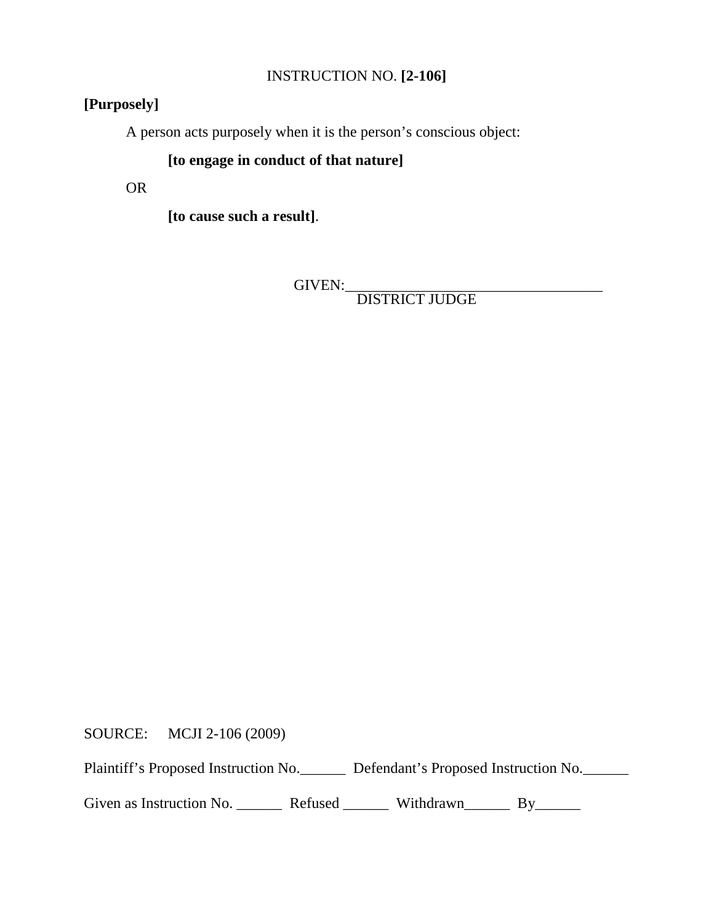# INSTRUCTION NO. **[2-106]**

# **[Purposely]**

A person acts purposely when it is the person's conscious object:

# **[to engage in conduct of that nature]**

OR

**[to cause such a result]**.

GIVEN:\_\_\_\_\_\_\_\_\_\_\_\_\_\_\_\_\_\_\_\_\_\_\_\_\_\_\_\_\_\_\_\_\_\_ DISTRICT JUDGE

SOURCE: MCJI 2-106 (2009)

Plaintiff's Proposed Instruction No. Defendant's Proposed Instruction No.

Given as Instruction No. \_\_\_\_\_\_\_\_ Refused \_\_\_\_\_\_\_ Withdrawn\_\_\_\_\_\_\_ By\_\_\_\_\_\_\_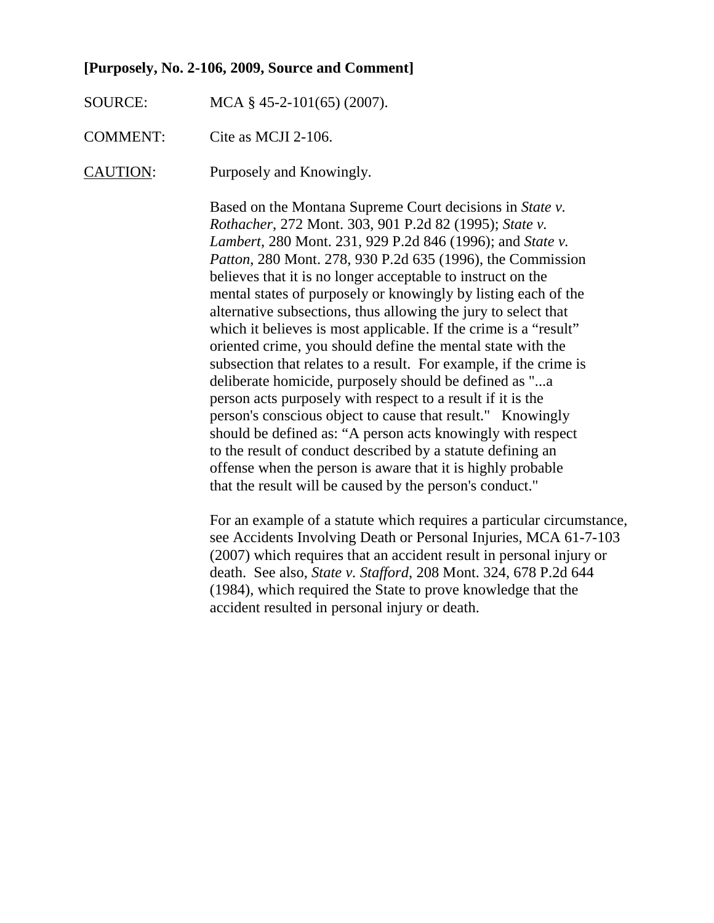#### **[Purposely, No. 2-106, 2009, Source and Comment]**

- SOURCE: MCA § 45-2-101(65) (2007).
- COMMENT: Cite as MCJI 2-106.
- CAUTION: Purposely and Knowingly.

Based on the Montana Supreme Court decisions in *State v. Rothacher*, 272 Mont. 303, 901 P.2d 82 (1995); *State v. Lambert*, 280 Mont. 231, 929 P.2d 846 (1996); and *State v. Patton*, 280 Mont. 278, 930 P.2d 635 (1996), the Commission believes that it is no longer acceptable to instruct on the mental states of purposely or knowingly by listing each of the alternative subsections, thus allowing the jury to select that which it believes is most applicable. If the crime is a "result" oriented crime, you should define the mental state with the subsection that relates to a result. For example, if the crime is deliberate homicide, purposely should be defined as "...a person acts purposely with respect to a result if it is the person's conscious object to cause that result." Knowingly should be defined as: "A person acts knowingly with respect to the result of conduct described by a statute defining an offense when the person is aware that it is highly probable that the result will be caused by the person's conduct."

For an example of a statute which requires a particular circumstance, see Accidents Involving Death or Personal Injuries, MCA 61-7-103 (2007) which requires that an accident result in personal injury or death. See also, *State v. Stafford*, 208 Mont. 324, 678 P.2d 644 (1984), which required the State to prove knowledge that the accident resulted in personal injury or death.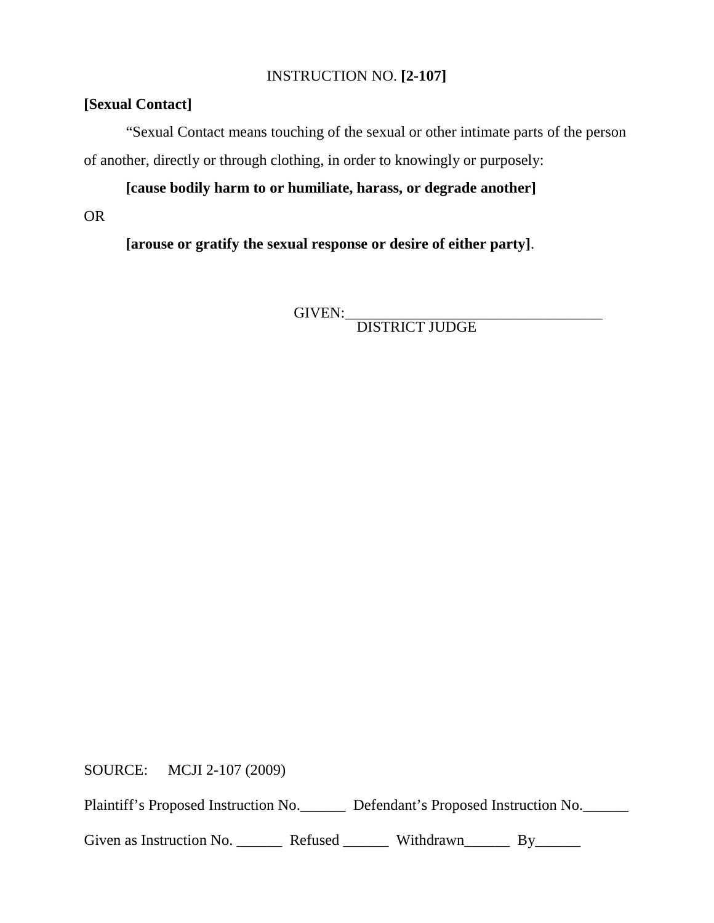#### INSTRUCTION NO. **[2-107]**

# **[Sexual Contact]**

"Sexual Contact means touching of the sexual or other intimate parts of the person of another, directly or through clothing, in order to knowingly or purposely:

**[cause bodily harm to or humiliate, harass, or degrade another]**

# OR

**[arouse or gratify the sexual response or desire of either party]**.

GIVEN:\_\_\_\_\_\_\_\_\_\_\_\_\_\_\_\_\_\_\_\_\_\_\_\_\_\_\_\_\_\_\_\_\_\_ DISTRICT JUDGE

SOURCE: MCJI 2-107 (2009)

Plaintiff's Proposed Instruction No. Defendant's Proposed Instruction No.

Given as Instruction No. \_\_\_\_\_\_\_ Refused \_\_\_\_\_\_\_ Withdrawn\_\_\_\_\_\_ By\_\_\_\_\_\_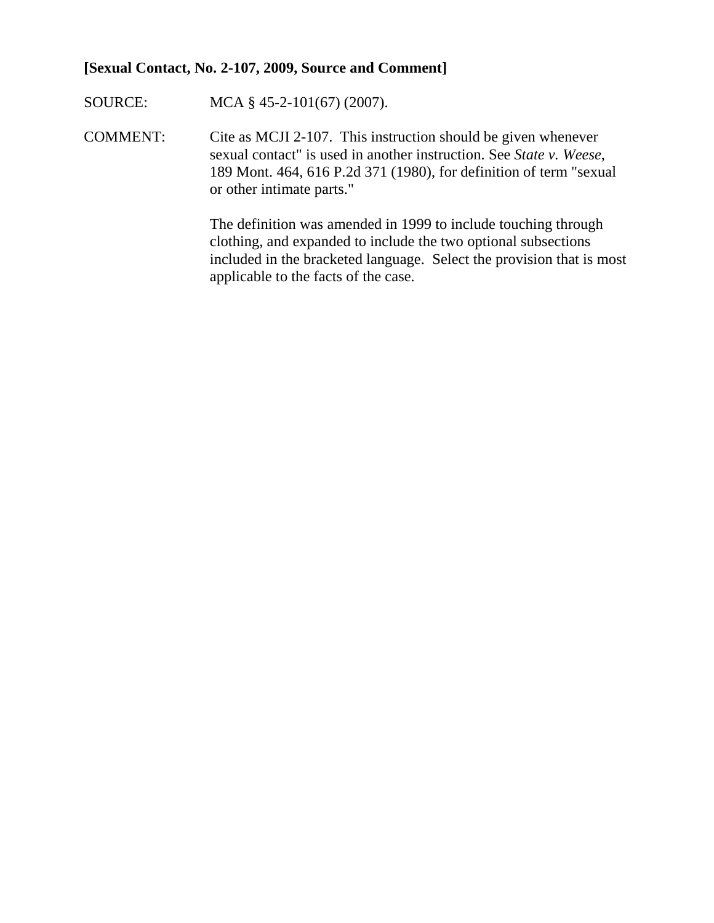#### **[Sexual Contact, No. 2-107, 2009, Source and Comment]**

SOURCE: MCA § 45-2-101(67) (2007).

COMMENT: Cite as MCJI 2-107. This instruction should be given whenever sexual contact" is used in another instruction. See *State v. Weese*, 189 Mont. 464, 616 P.2d 371 (1980), for definition of term "sexual or other intimate parts."

> The definition was amended in 1999 to include touching through clothing, and expanded to include the two optional subsections included in the bracketed language. Select the provision that is most applicable to the facts of the case.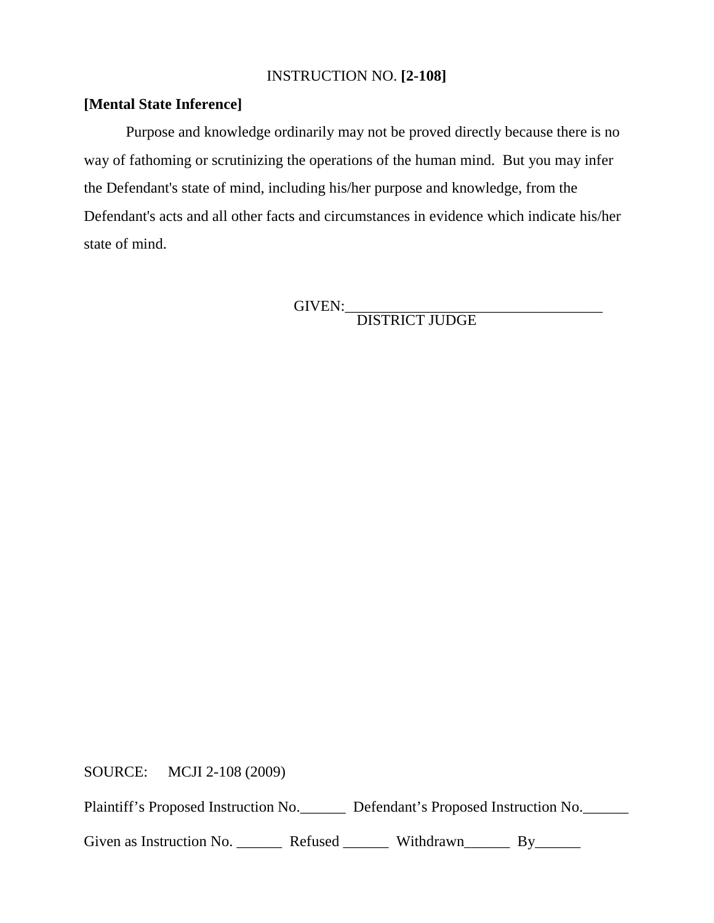#### INSTRUCTION NO. **[2-108]**

## **[Mental State Inference]**

Purpose and knowledge ordinarily may not be proved directly because there is no way of fathoming or scrutinizing the operations of the human mind. But you may infer the Defendant's state of mind, including his/her purpose and knowledge, from the Defendant's acts and all other facts and circumstances in evidence which indicate his/her state of mind.

GIVEN:\_\_\_\_\_\_\_\_\_\_\_\_\_\_\_\_\_\_\_\_\_\_\_\_\_\_\_\_\_\_\_\_\_\_ DISTRICT JUDGE

SOURCE: MCJI 2-108 (2009)

Plaintiff's Proposed Instruction No. Defendant's Proposed Instruction No.

Given as Instruction No. \_\_\_\_\_\_\_\_ Refused \_\_\_\_\_\_\_ Withdrawn\_\_\_\_\_\_\_ By\_\_\_\_\_\_\_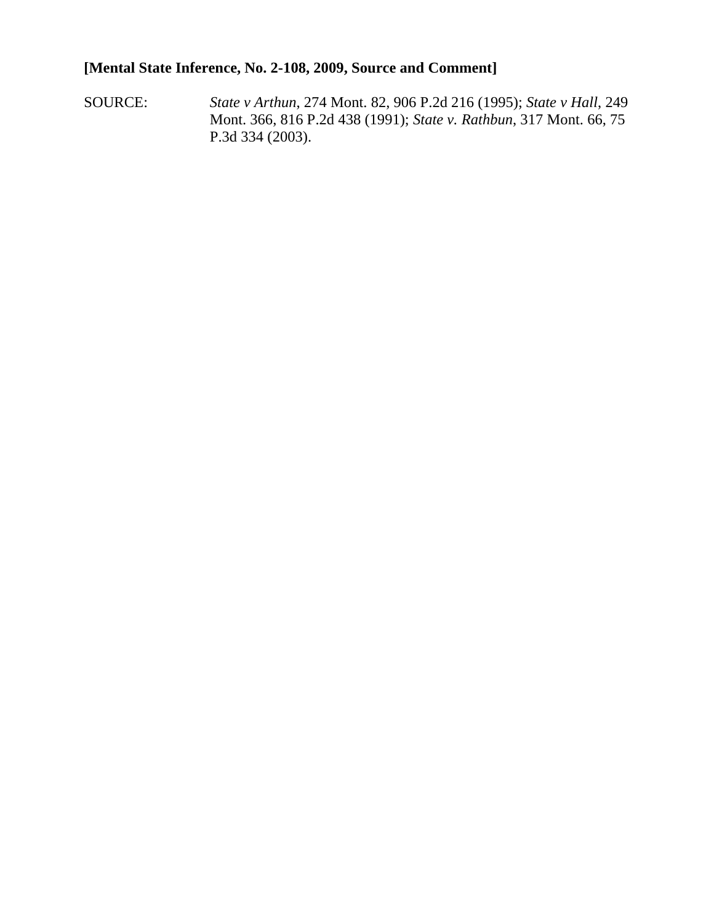# **[Mental State Inference, No. 2-108, 2009, Source and Comment]**

SOURCE: *State v Arthun*, 274 Mont. 82, 906 P.2d 216 (1995); *State v Hall*, 249 Mont. 366, 816 P.2d 438 (1991); *State v. Rathbun*, 317 Mont. 66, 75 P.3d 334 (2003).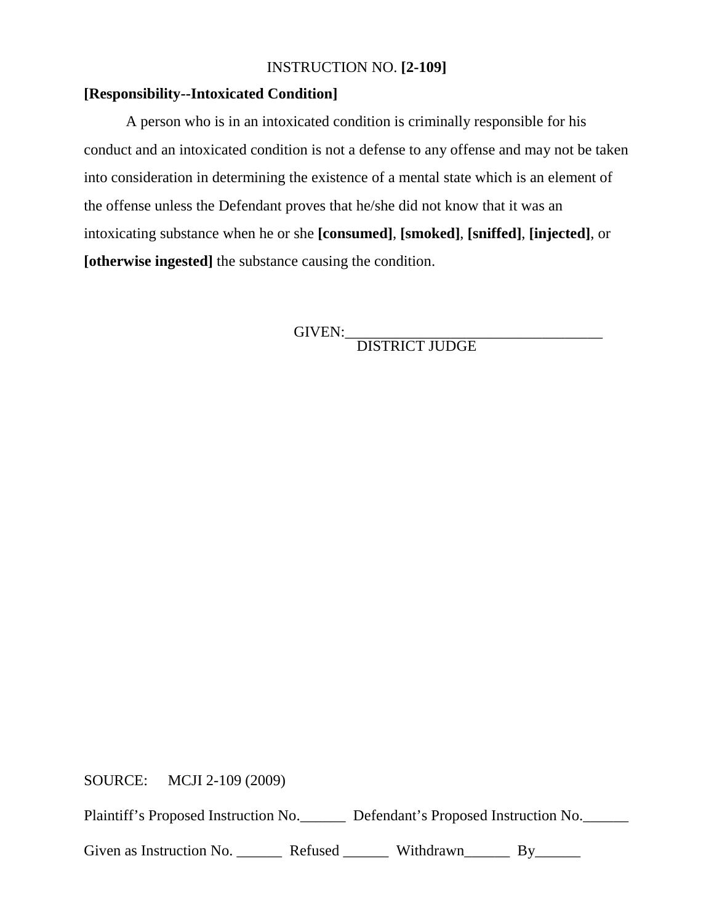## INSTRUCTION NO. **[2-109]**

#### **[Responsibility--Intoxicated Condition]**

A person who is in an intoxicated condition is criminally responsible for his conduct and an intoxicated condition is not a defense to any offense and may not be taken into consideration in determining the existence of a mental state which is an element of the offense unless the Defendant proves that he/she did not know that it was an intoxicating substance when he or she **[consumed]**, **[smoked]**, **[sniffed]**, **[injected]**, or **[otherwise ingested]** the substance causing the condition.

GIVEN:<br>DISTRICT JUDGE

SOURCE: MCJI 2-109 (2009)

Plaintiff's Proposed Instruction No. Defendant's Proposed Instruction No.

Given as Instruction No. \_\_\_\_\_\_\_\_ Refused \_\_\_\_\_\_\_ Withdrawn\_\_\_\_\_\_\_ By\_\_\_\_\_\_\_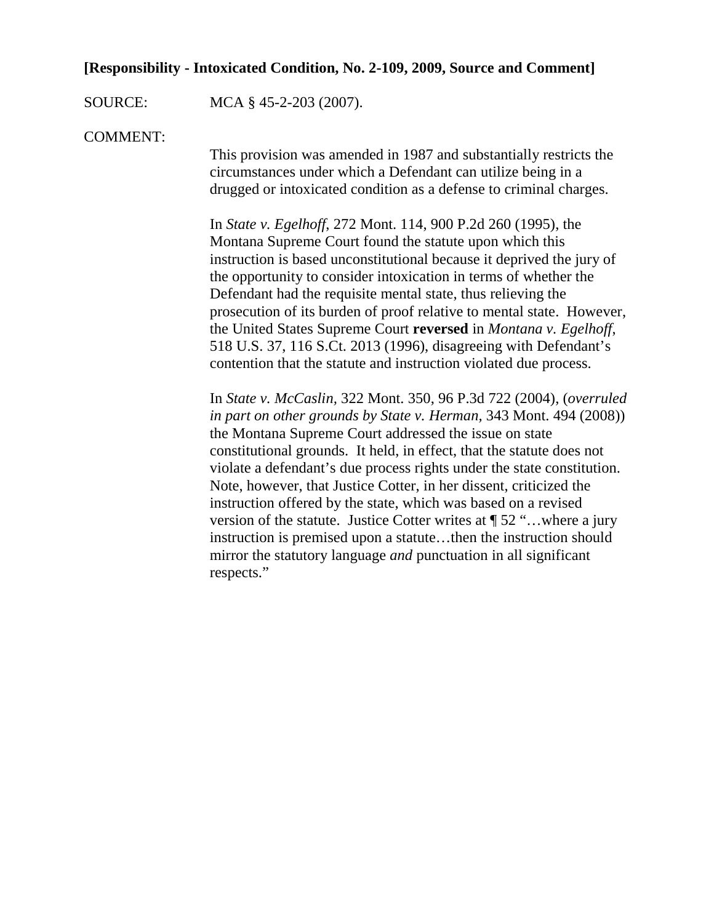# **[Responsibility - Intoxicated Condition, No. 2-109, 2009, Source and Comment]**

SOURCE: MCA § 45-2-203 (2007).

COMMENT:

This provision was amended in 1987 and substantially restricts the circumstances under which a Defendant can utilize being in a drugged or intoxicated condition as a defense to criminal charges.

In *State v. Egelhoff*, 272 Mont. 114, 900 P.2d 260 (1995), the Montana Supreme Court found the statute upon which this instruction is based unconstitutional because it deprived the jury of the opportunity to consider intoxication in terms of whether the Defendant had the requisite mental state, thus relieving the prosecution of its burden of proof relative to mental state. However, the United States Supreme Court **reversed** in *Montana v. Egelhoff*, 518 U.S. 37, 116 S.Ct. 2013 (1996), disagreeing with Defendant's contention that the statute and instruction violated due process.

In *State v. McCaslin,* 322 Mont. 350, 96 P.3d 722 (2004), (*overruled in part on other grounds by State v. Herman,* 343 Mont. 494 (2008)) the Montana Supreme Court addressed the issue on state constitutional grounds. It held, in effect, that the statute does not violate a defendant's due process rights under the state constitution. Note, however, that Justice Cotter, in her dissent, criticized the instruction offered by the state, which was based on a revised version of the statute. Justice Cotter writes at ¶ 52 "…where a jury instruction is premised upon a statute…then the instruction should mirror the statutory language *and* punctuation in all significant respects."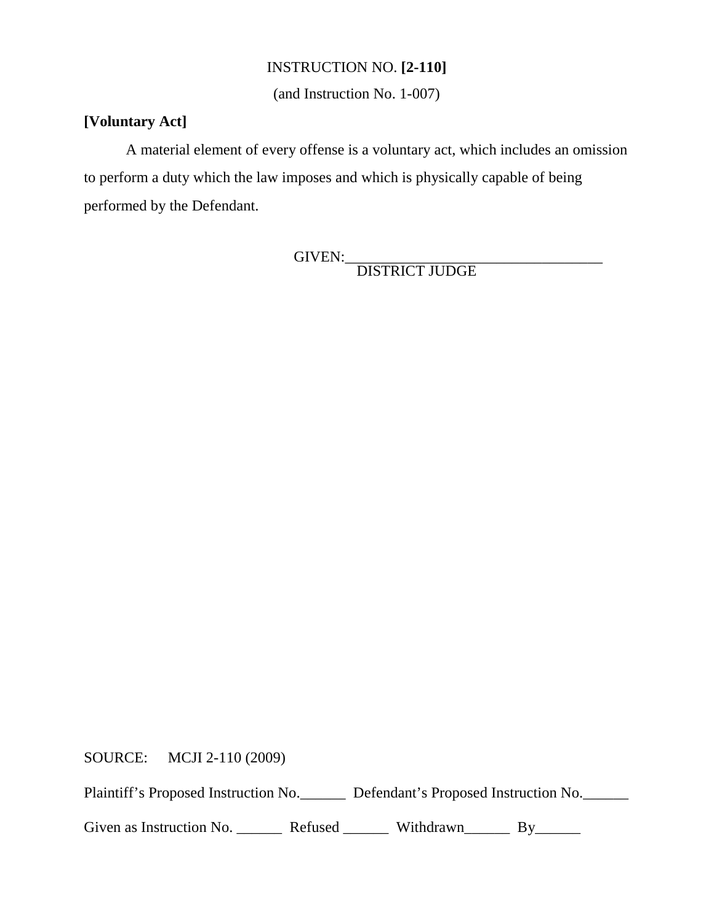# INSTRUCTION NO. **[2-110]**

(and Instruction No. 1-007)

#### **[Voluntary Act]**

A material element of every offense is a voluntary act, which includes an omission to perform a duty which the law imposes and which is physically capable of being performed by the Defendant.

GIVEN:\_\_\_\_\_\_\_\_\_\_\_\_\_\_\_\_\_\_\_\_\_\_\_\_\_\_\_\_\_\_\_\_\_\_ DISTRICT JUDGE

SOURCE: MCJI 2-110 (2009)

Plaintiff's Proposed Instruction No.\_\_\_\_\_\_\_ Defendant's Proposed Instruction No.\_\_\_\_\_

Given as Instruction No. \_\_\_\_\_\_\_\_ Refused \_\_\_\_\_\_\_ Withdrawn \_\_\_\_\_\_ By\_\_\_\_\_\_\_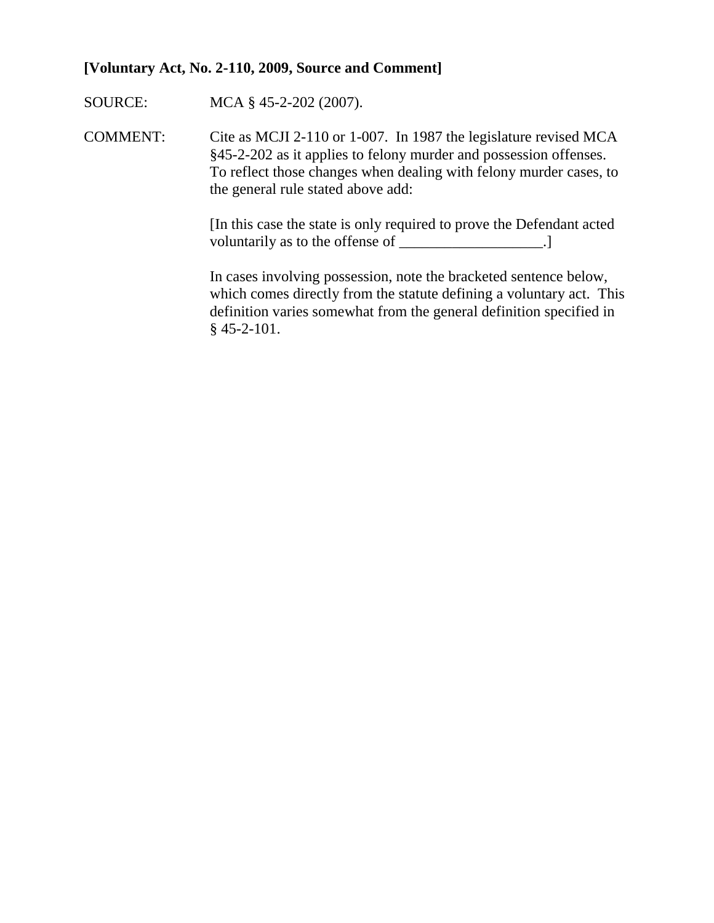#### **[Voluntary Act, No. 2-110, 2009, Source and Comment]**

SOURCE: MCA § 45-2-202 (2007).

COMMENT: Cite as MCJI 2-110 or 1-007. In 1987 the legislature revised MCA §45-2-202 as it applies to felony murder and possession offenses. To reflect those changes when dealing with felony murder cases, to the general rule stated above add:

> [In this case the state is only required to prove the Defendant acted voluntarily as to the offense of \_\_\_\_\_\_\_\_\_\_\_\_\_\_\_\_\_\_\_\_.]

In cases involving possession, note the bracketed sentence below, which comes directly from the statute defining a voluntary act. This definition varies somewhat from the general definition specified in § 45-2-101.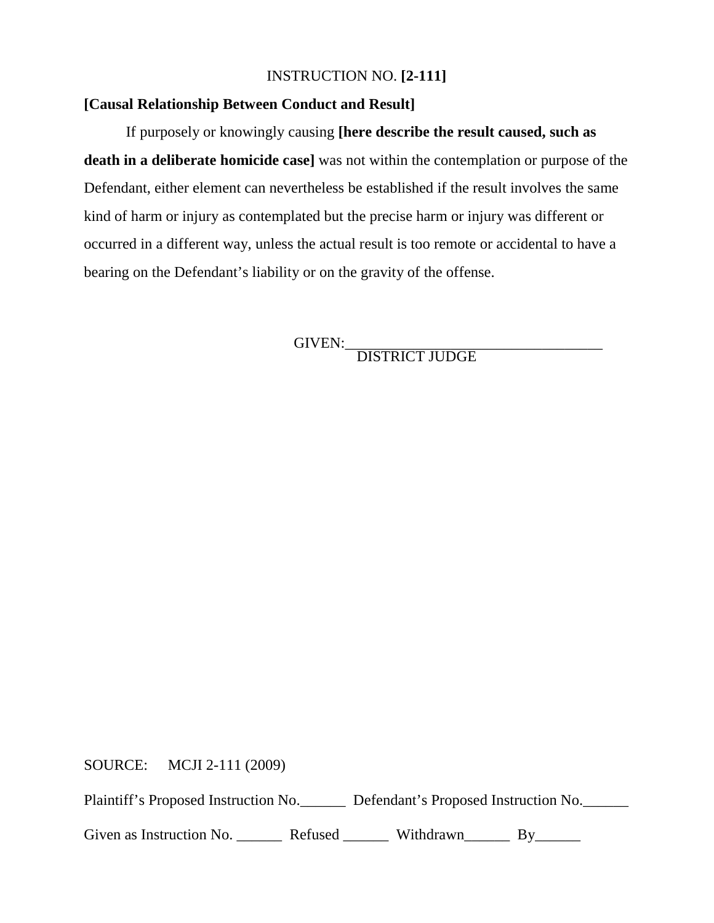### INSTRUCTION NO. **[2-111]**

## **[Causal Relationship Between Conduct and Result]**

If purposely or knowingly causing **[here describe the result caused, such as death in a deliberate homicide case]** was not within the contemplation or purpose of the Defendant, either element can nevertheless be established if the result involves the same kind of harm or injury as contemplated but the precise harm or injury was different or occurred in a different way, unless the actual result is too remote or accidental to have a bearing on the Defendant's liability or on the gravity of the offense.

GIVEN:\_\_\_\_\_\_\_\_\_\_\_\_\_\_\_\_\_\_\_\_\_\_\_\_\_\_\_\_\_\_\_\_\_\_ DISTRICT JUDGE

SOURCE: MCJI 2-111 (2009)

Plaintiff's Proposed Instruction No. Defendant's Proposed Instruction No.

Given as Instruction No. \_\_\_\_\_\_\_\_ Refused \_\_\_\_\_\_\_ Withdrawn \_\_\_\_\_\_ By\_\_\_\_\_\_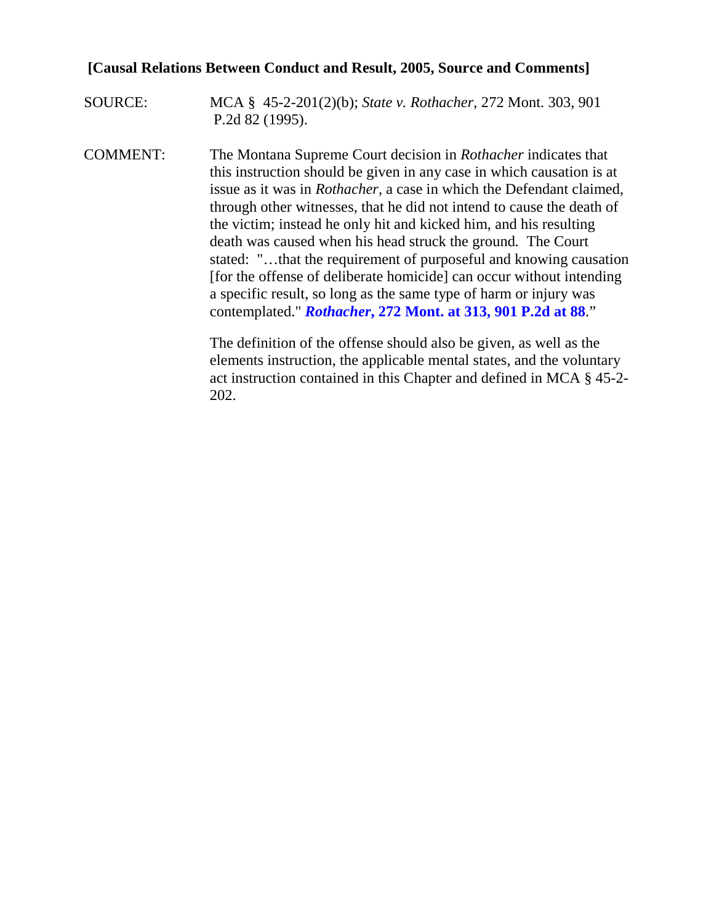# **[Causal Relations Between Conduct and Result, 2005, Source and Comments]**

SOURCE: MCA § 45-2-201(2)(b); *State v. Rothacher*, 272 Mont. 303, 901 P.2d 82 (1995).

COMMENT: The Montana Supreme Court decision in *Rothacher* indicates that this instruction should be given in any case in which causation is at issue as it was in *Rothacher,* a case in which the Defendant claimed, through other witnesses, that he did not intend to cause the death of the victim; instead he only hit and kicked him, and his resulting death was caused when his head struck the ground*.* The Court stated: "…that the requirement of purposeful and knowing causation [for the offense of deliberate homicide] can occur without intending a specific result, so long as the same type of harm or injury was contemplated." *Rothacher***[, 272 Mont. at 313, 901 P.2d at 88](https://www.lexis.com/research/buttonTFLink?_m=f324d86bd223ab86e6213bb61354a850&_xfercite=%3ccite%20cc%3d%22USA%22%3e%3c%21%5bCDATA%5b2007%20MT%20125%5d%5d%3e%3c%2fcite%3e&_butType=3&_butStat=2&_butNum=137&_butInline=1&_butinfo=%3ccite%20cc%3d%22USA%22%3e%3c%21%5bCDATA%5b272%20Mont.%20303%2c%20313%5d%5d%3e%3c%2fcite%3e&_fmtstr=FULL&docnum=1&_startdoc=1&wchp=dGLbVtb-zSkAB&_md5=7e188cfe5e9c7e851223ab30f61dd45f)**."

> The definition of the offense should also be given, as well as the elements instruction, the applicable mental states, and the voluntary act instruction contained in this Chapter and defined in MCA § 45-2- 202.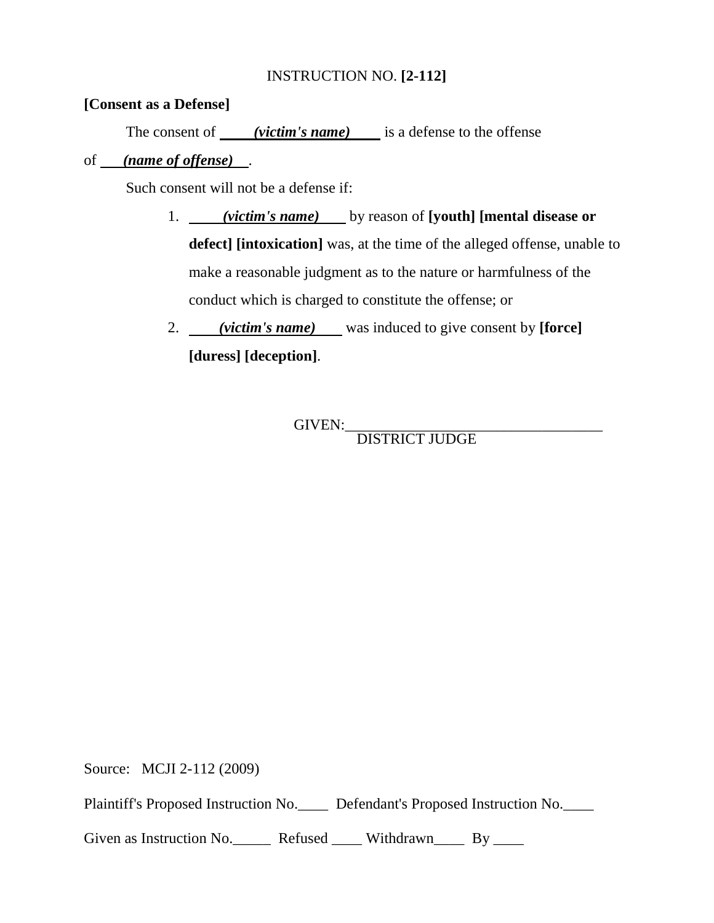# INSTRUCTION NO. **[2-112]**

#### **[Consent as a Defense]**

The consent of *(victim's name)* is a defense to the offense

#### of *(name of offense)* .

Such consent will not be a defense if:

- 1. *(victim's name)* by reason of **[youth] [mental disease or defect] [intoxication]** was, at the time of the alleged offense, unable to make a reasonable judgment as to the nature or harmfulness of the conduct which is charged to constitute the offense; or
- 2. *(victim's name)* was induced to give consent by **[force] [duress] [deception]**.

GIVEN:\_\_\_\_\_\_\_\_\_\_\_\_\_\_\_\_\_\_\_\_\_\_\_\_\_\_\_\_\_\_\_\_\_\_ DISTRICT JUDGE

Source: MCJI 2-112 (2009)

Plaintiff's Proposed Instruction No.\_\_\_\_ Defendant's Proposed Instruction No.\_\_\_\_

Given as Instruction No. Refused Withdrawn By \_\_\_\_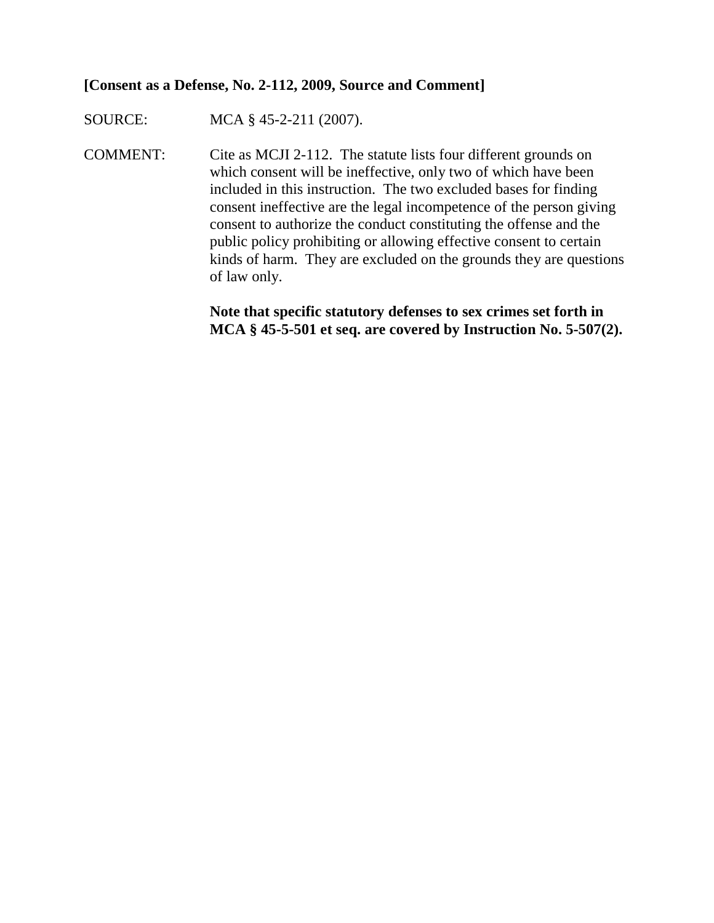#### **[Consent as a Defense, No. 2-112, 2009, Source and Comment]**

SOURCE: MCA § 45-2-211 (2007).

COMMENT: Cite as MCJI 2-112. The statute lists four different grounds on which consent will be ineffective, only two of which have been included in this instruction. The two excluded bases for finding consent ineffective are the legal incompetence of the person giving consent to authorize the conduct constituting the offense and the public policy prohibiting or allowing effective consent to certain kinds of harm. They are excluded on the grounds they are questions of law only.

> **Note that specific statutory defenses to sex crimes set forth in MCA § 45-5-501 et seq. are covered by Instruction No. 5-507(2).**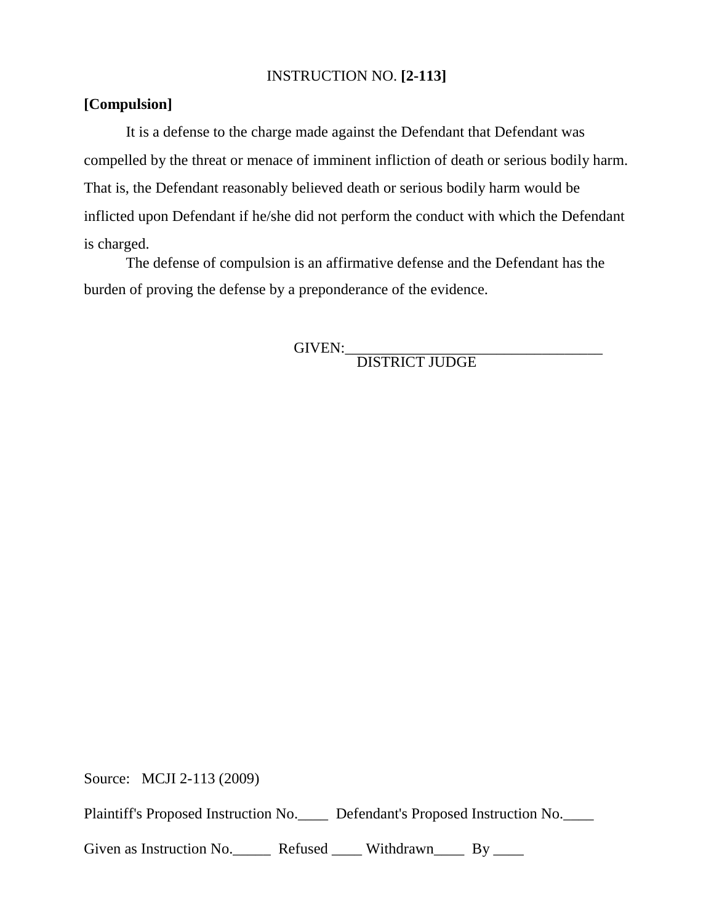# INSTRUCTION NO. **[2-113]**

# **[Compulsion]**

It is a defense to the charge made against the Defendant that Defendant was compelled by the threat or menace of imminent infliction of death or serious bodily harm. That is, the Defendant reasonably believed death or serious bodily harm would be inflicted upon Defendant if he/she did not perform the conduct with which the Defendant is charged.

The defense of compulsion is an affirmative defense and the Defendant has the burden of proving the defense by a preponderance of the evidence.

GIVEN:\_\_\_\_\_\_\_\_\_\_\_\_\_\_\_\_\_\_\_\_\_\_\_\_\_\_\_\_\_\_\_\_\_\_ DISTRICT JUDGE

Source: MCJI 2-113 (2009)

Plaintiff's Proposed Instruction No.\_\_\_\_ Defendant's Proposed Instruction No.\_\_\_\_

Given as Instruction No. Refused \_\_\_\_ Withdrawn By \_\_\_\_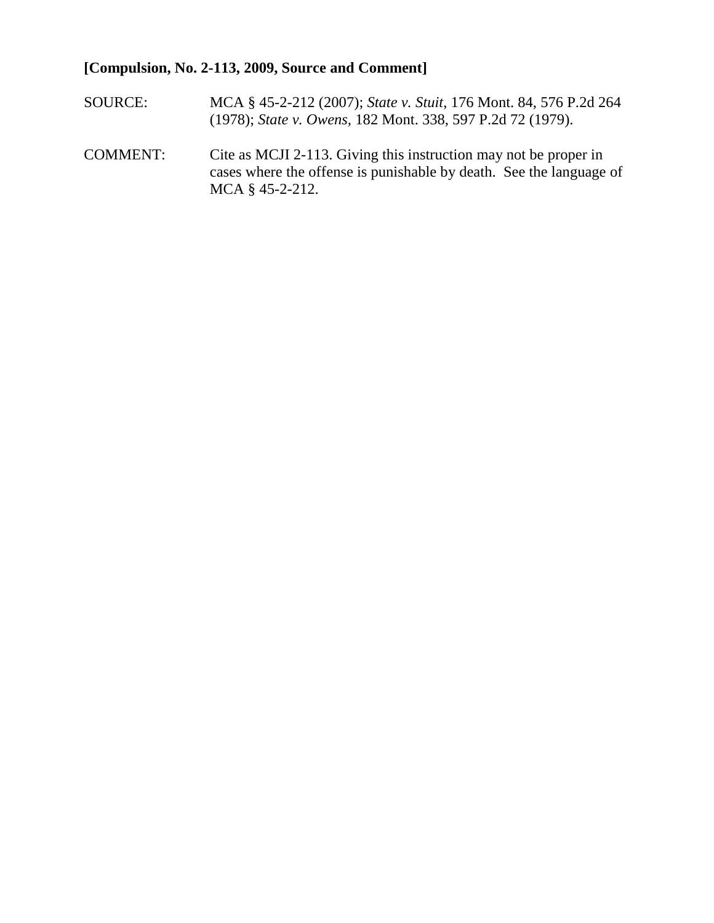# **[Compulsion, No. 2-113, 2009, Source and Comment]**

- SOURCE: MCA § 45-2-212 (2007); *State v. Stuit*, 176 Mont. 84, 576 P.2d 264 (1978); *State v. Owens,* 182 Mont. 338, 597 P.2d 72 (1979).
- COMMENT: Cite as MCJI 2-113. Giving this instruction may not be proper in cases where the offense is punishable by death. See the language of MCA § 45-2-212.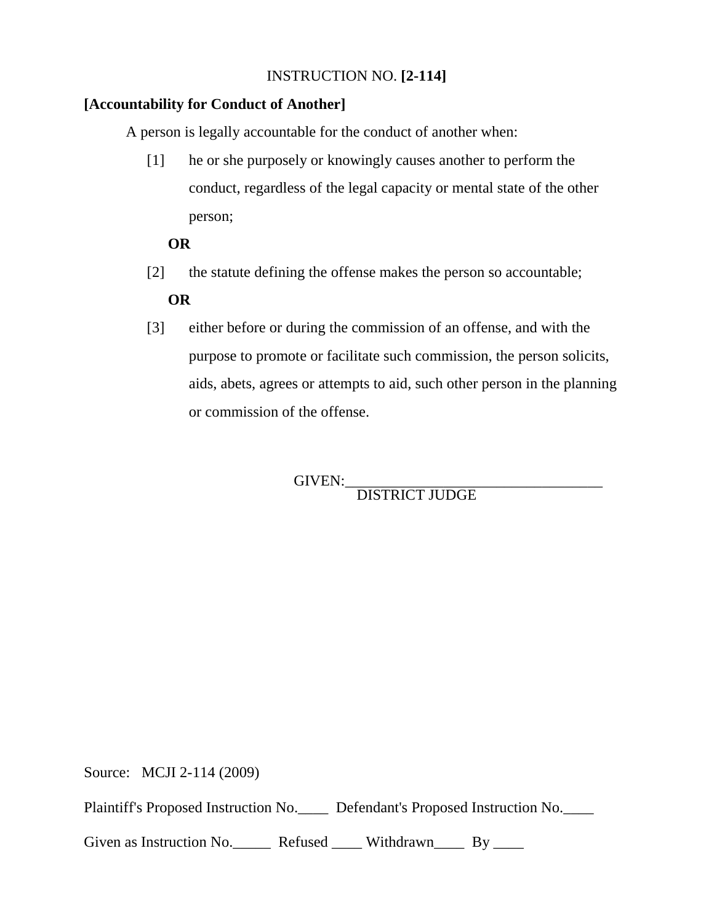# INSTRUCTION NO. **[2-114]**

# **[Accountability for Conduct of Another]**

A person is legally accountable for the conduct of another when:

[1] he or she purposely or knowingly causes another to perform the conduct, regardless of the legal capacity or mental state of the other person;

# **OR**

[2] the statute defining the offense makes the person so accountable;

# **OR**

[3] either before or during the commission of an offense, and with the purpose to promote or facilitate such commission, the person solicits, aids, abets, agrees or attempts to aid, such other person in the planning or commission of the offense.

GIVEN:\_\_\_\_\_\_\_\_\_\_\_\_\_\_\_\_\_\_\_\_\_\_\_\_\_\_\_\_\_\_\_\_\_\_ DISTRICT JUDGE

Source: MCJI 2-114 (2009)

Plaintiff's Proposed Instruction No.\_\_\_\_ Defendant's Proposed Instruction No.\_\_\_\_

Given as Instruction No. Refused \_\_\_\_ Withdrawn By \_\_\_\_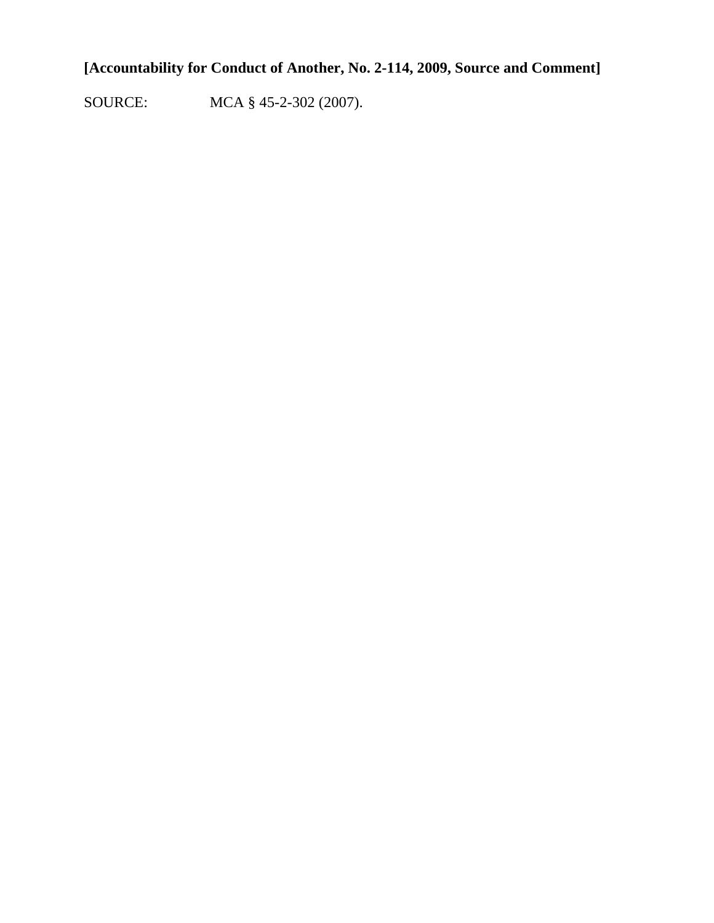# **[Accountability for Conduct of Another, No. 2-114, 2009, Source and Comment]**

SOURCE: MCA § 45-2-302 (2007).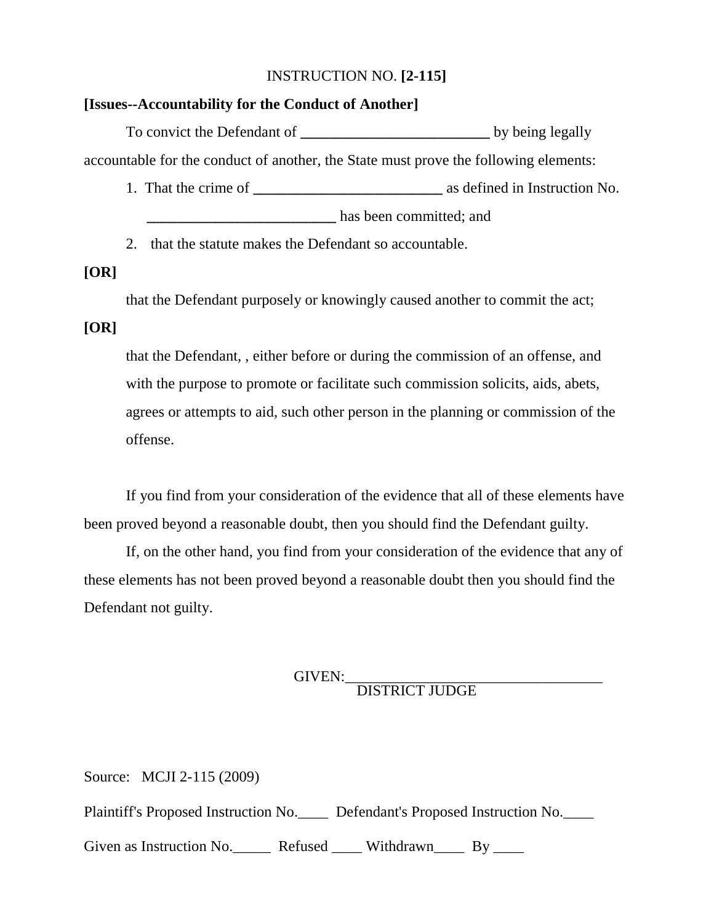#### INSTRUCTION NO. **[2-115]**

#### **[Issues--Accountability for the Conduct of Another]**

To convict the Defendant of **the bullet** by being legally accountable for the conduct of another, the State must prove the following elements:

- 1. That the crime of **\_\_\_\_\_\_\_\_\_\_\_\_\_\_\_\_\_\_\_\_\_\_\_\_\_** as defined in Instruction No. has been committed; and
- 2. that the statute makes the Defendant so accountable.

#### **[OR]**

that the Defendant purposely or knowingly caused another to commit the act;

#### **[OR]**

that the Defendant, , either before or during the commission of an offense, and with the purpose to promote or facilitate such commission solicits, aids, abets, agrees or attempts to aid, such other person in the planning or commission of the offense.

If you find from your consideration of the evidence that all of these elements have been proved beyond a reasonable doubt, then you should find the Defendant guilty.

If, on the other hand, you find from your consideration of the evidence that any of these elements has not been proved beyond a reasonable doubt then you should find the Defendant not guilty.

# GIVEN:<br>DISTRICT JUDGE

Source: MCJI 2-115 (2009) Plaintiff's Proposed Instruction No. Defendant's Proposed Instruction No. Given as Instruction No. Refused Withdrawn By \_\_\_\_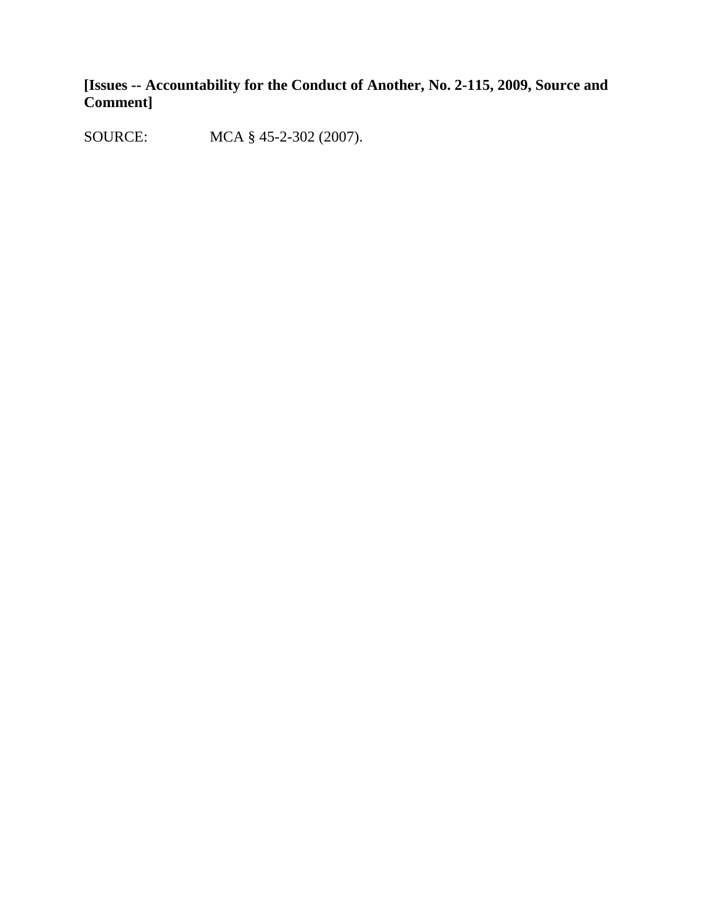**[Issues -- Accountability for the Conduct of Another, No. 2-115, 2009, Source and Comment]**

SOURCE: MCA § 45-2-302 (2007).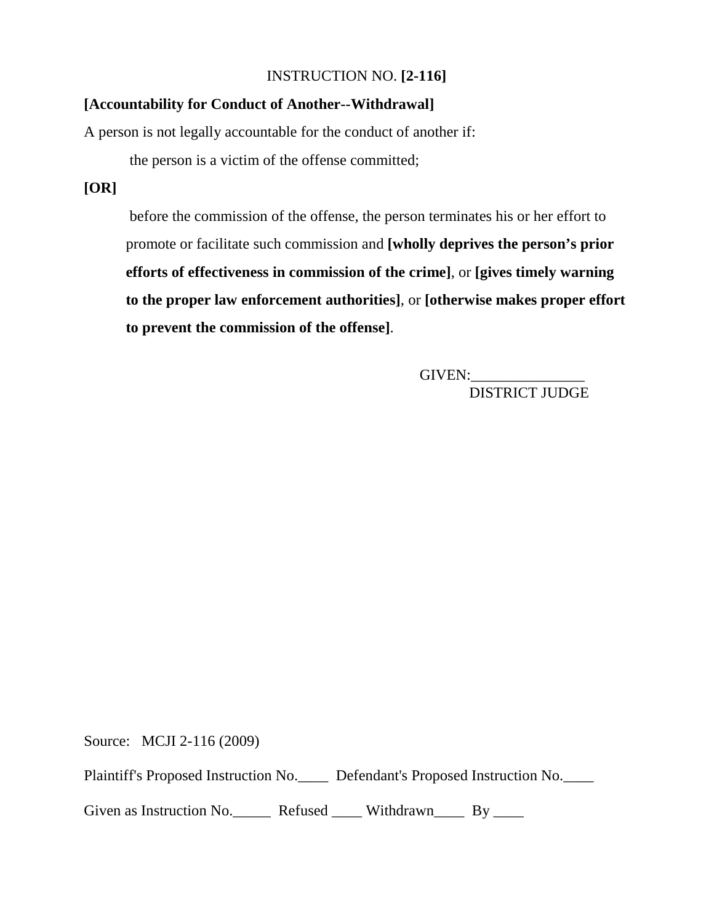### INSTRUCTION NO. **[2-116]**

# **[Accountability for Conduct of Another--Withdrawal]**

A person is not legally accountable for the conduct of another if:

the person is a victim of the offense committed;

# **[OR]**

before the commission of the offense, the person terminates his or her effort to promote or facilitate such commission and **[wholly deprives the person's prior efforts of effectiveness in commission of the crime]**, or **[gives timely warning to the proper law enforcement authorities]**, or **[otherwise makes proper effort to prevent the commission of the offense]**.

> GIVEN: DISTRICT JUDGE

Source: MCJI 2-116 (2009)

Plaintiff's Proposed Instruction No.\_\_\_\_ Defendant's Proposed Instruction No.\_\_\_\_

Given as Instruction No. Refused \_\_\_\_ Withdrawn By \_\_\_\_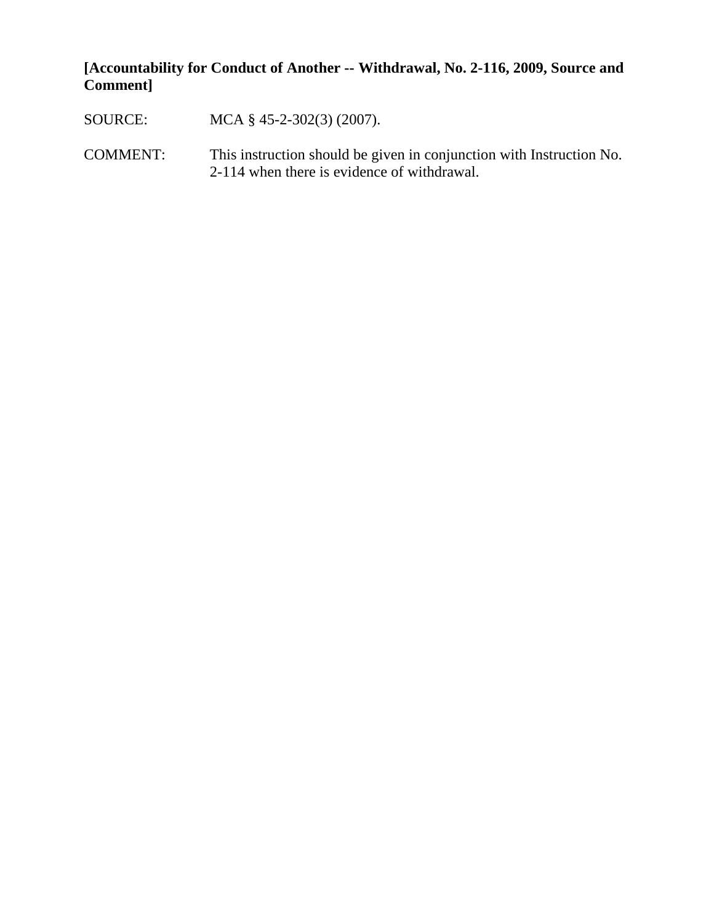# **[Accountability for Conduct of Another -- Withdrawal, No. 2-116, 2009, Source and Comment]**

- SOURCE: MCA § 45-2-302(3) (2007).
- COMMENT: This instruction should be given in conjunction with Instruction No. 2-114 when there is evidence of withdrawal.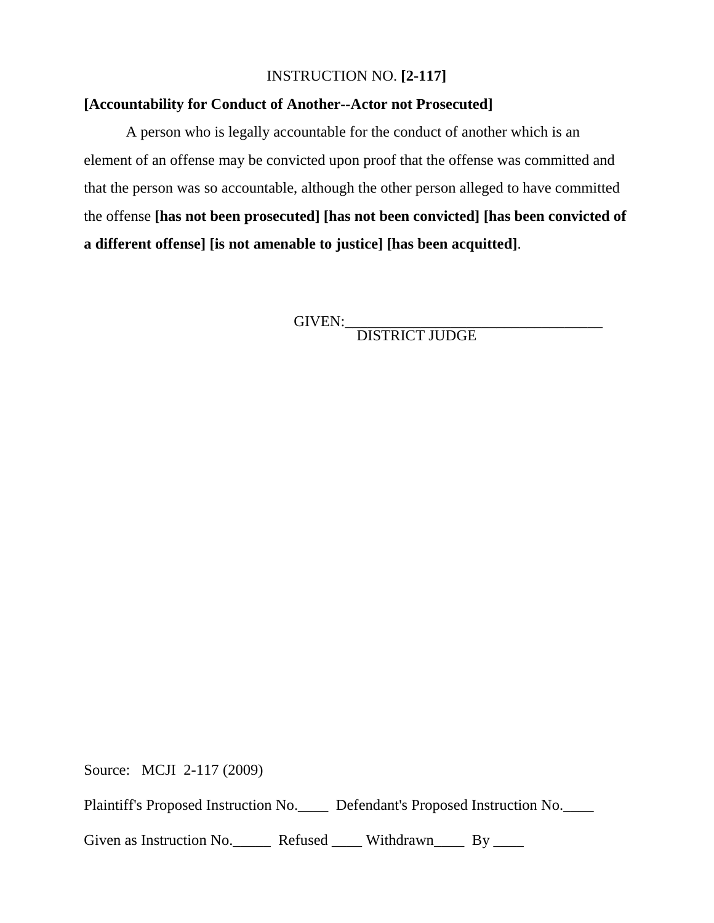#### INSTRUCTION NO. **[2-117]**

# **[Accountability for Conduct of Another--Actor not Prosecuted]**

A person who is legally accountable for the conduct of another which is an element of an offense may be convicted upon proof that the offense was committed and that the person was so accountable, although the other person alleged to have committed the offense **[has not been prosecuted] [has not been convicted] [has been convicted of a different offense] [is not amenable to justice] [has been acquitted]**.

GIVEN:\_\_\_\_\_\_\_\_\_\_\_\_\_\_\_\_\_\_\_\_\_\_\_\_\_\_\_\_\_\_\_\_\_\_ DISTRICT JUDGE

Source: MCJI 2-117 (2009)

Plaintiff's Proposed Instruction No.\_\_\_\_ Defendant's Proposed Instruction No.\_\_\_\_

Given as Instruction No. Refused Withdrawn By \_\_\_\_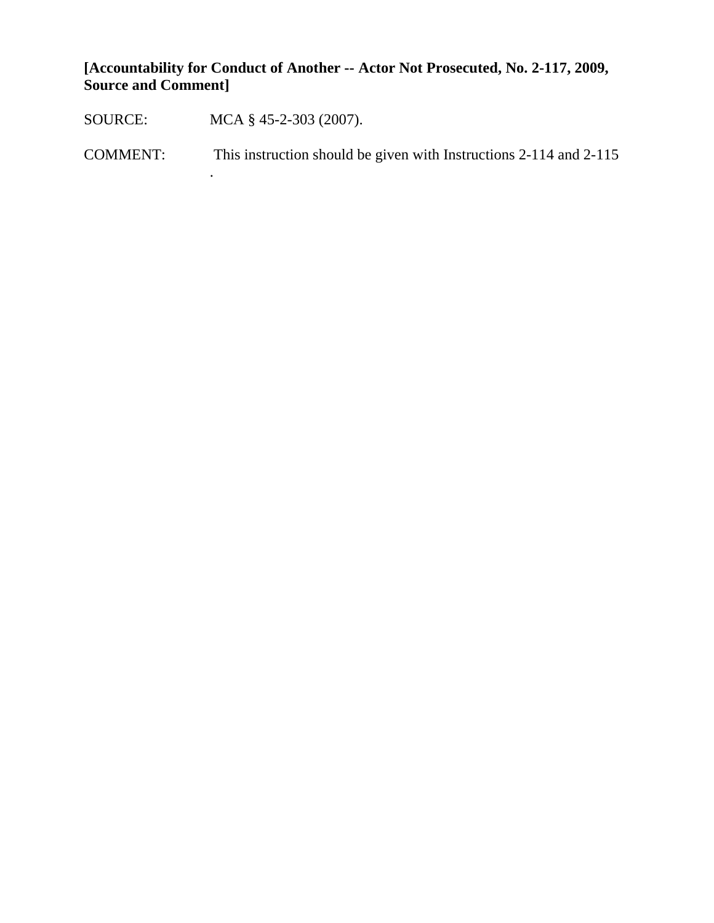**[Accountability for Conduct of Another -- Actor Not Prosecuted, No. 2-117, 2009, Source and Comment]**

SOURCE: MCA § 45-2-303 (2007).

.

COMMENT: This instruction should be given with Instructions 2-114 and 2-115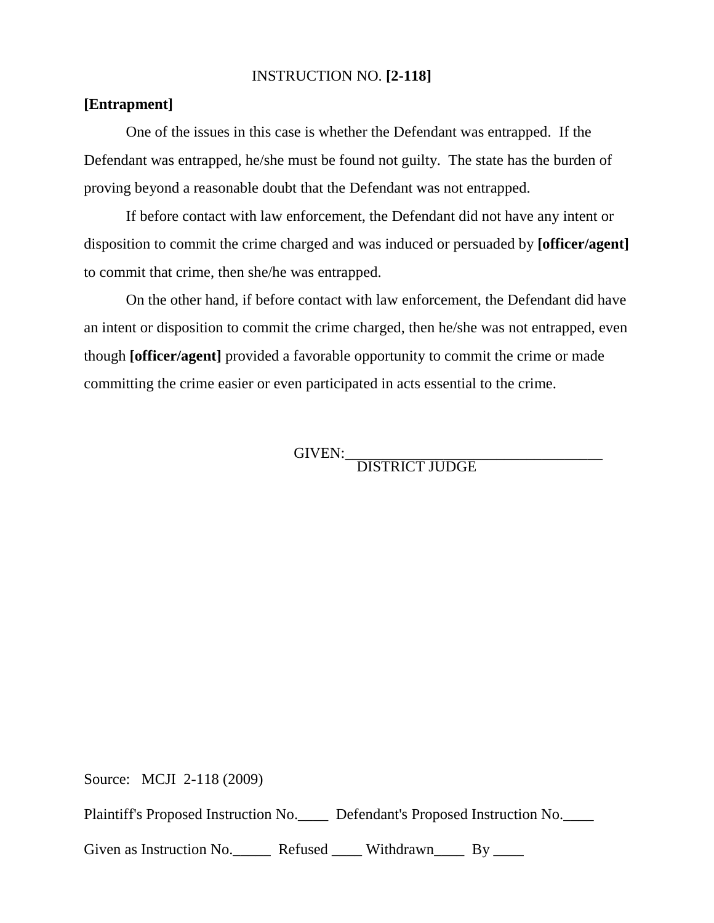#### INSTRUCTION NO. **[2-118]**

# **[Entrapment]**

One of the issues in this case is whether the Defendant was entrapped. If the Defendant was entrapped, he/she must be found not guilty. The state has the burden of proving beyond a reasonable doubt that the Defendant was not entrapped.

If before contact with law enforcement, the Defendant did not have any intent or disposition to commit the crime charged and was induced or persuaded by **[officer/agent]** to commit that crime, then she/he was entrapped.

On the other hand, if before contact with law enforcement, the Defendant did have an intent or disposition to commit the crime charged, then he/she was not entrapped, even though **[officer/agent]** provided a favorable opportunity to commit the crime or made committing the crime easier or even participated in acts essential to the crime.

GIVEN:<br>DISTRICT JUDGE

Source: MCJI 2-118 (2009)

Plaintiff's Proposed Instruction No. Defendant's Proposed Instruction No.

Given as Instruction No. Refused Withdrawn By \_\_\_\_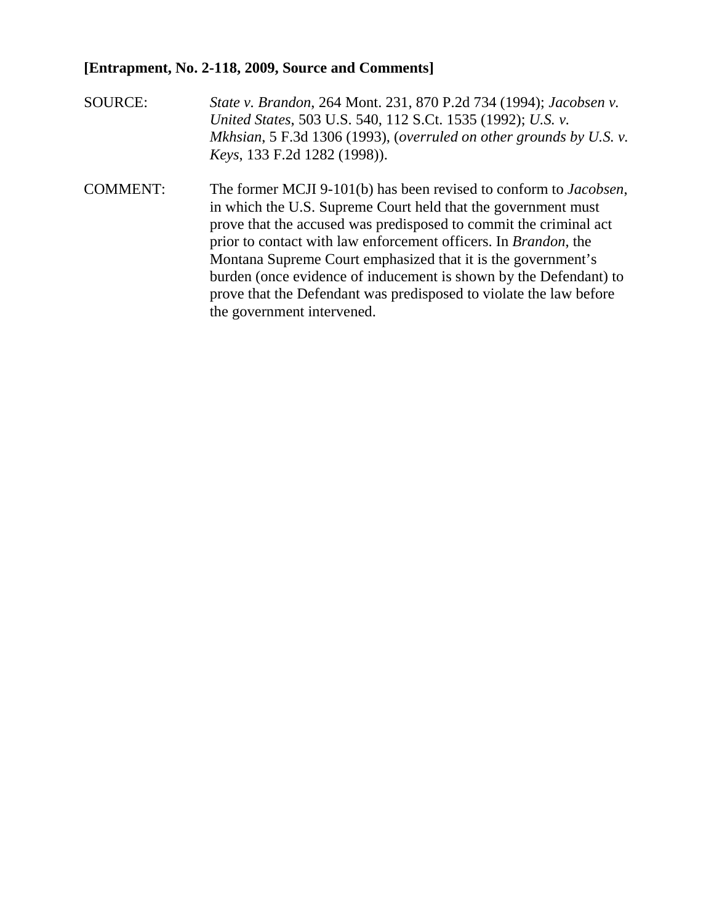## **[Entrapment, No. 2-118, 2009, Source and Comments]**

- SOURCE: *State v. Brandon*, 264 Mont. 231, 870 P.2d 734 (1994); *Jacobsen v. United States*, 503 U.S. 540, 112 S.Ct. 1535 (1992); *U.S. v. Mkhsian*, 5 F.3d 1306 (1993), (*overruled on other grounds by U.S. v. Keys*, 133 F.2d 1282 (1998)).
- COMMENT: The former MCJI 9-101(b) has been revised to conform to *Jacobsen*, in which the U.S. Supreme Court held that the government must prove that the accused was predisposed to commit the criminal act prior to contact with law enforcement officers. In *Brandon*, the Montana Supreme Court emphasized that it is the government's burden (once evidence of inducement is shown by the Defendant) to prove that the Defendant was predisposed to violate the law before the government intervened.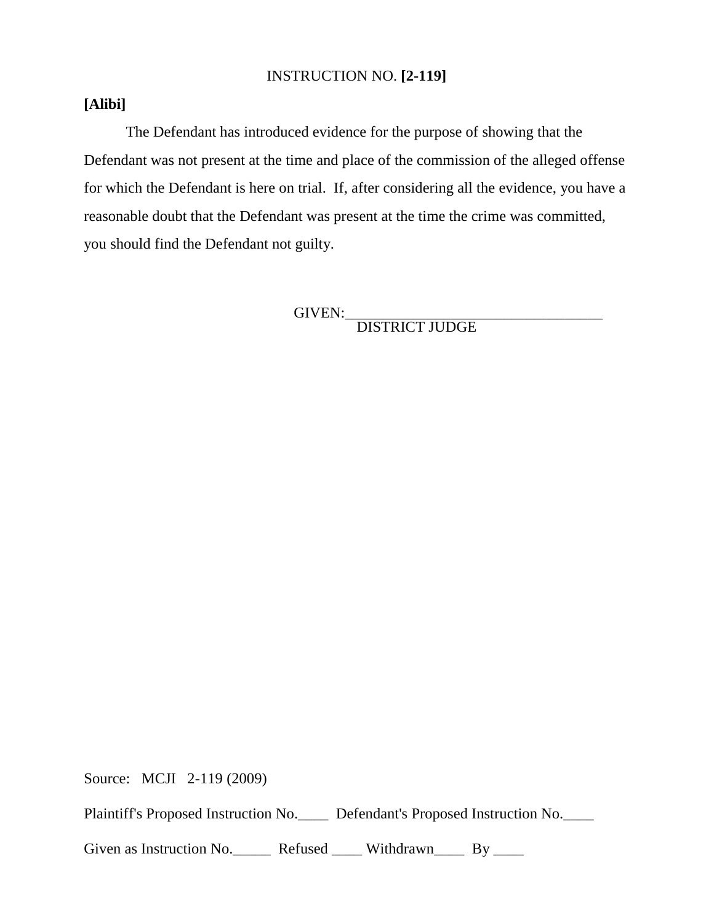#### INSTRUCTION NO. **[2-119]**

# **[Alibi]**

The Defendant has introduced evidence for the purpose of showing that the Defendant was not present at the time and place of the commission of the alleged offense for which the Defendant is here on trial. If, after considering all the evidence, you have a reasonable doubt that the Defendant was present at the time the crime was committed, you should find the Defendant not guilty.

GIVEN:\_\_\_\_\_\_\_\_\_\_\_\_\_\_\_\_\_\_\_\_\_\_\_\_\_\_\_\_\_\_\_\_\_\_ DISTRICT JUDGE

Source: MCJI 2-119 (2009)

Plaintiff's Proposed Instruction No.\_\_\_\_ Defendant's Proposed Instruction No.\_\_\_\_

Given as Instruction No. Refused Withdrawn By \_\_\_\_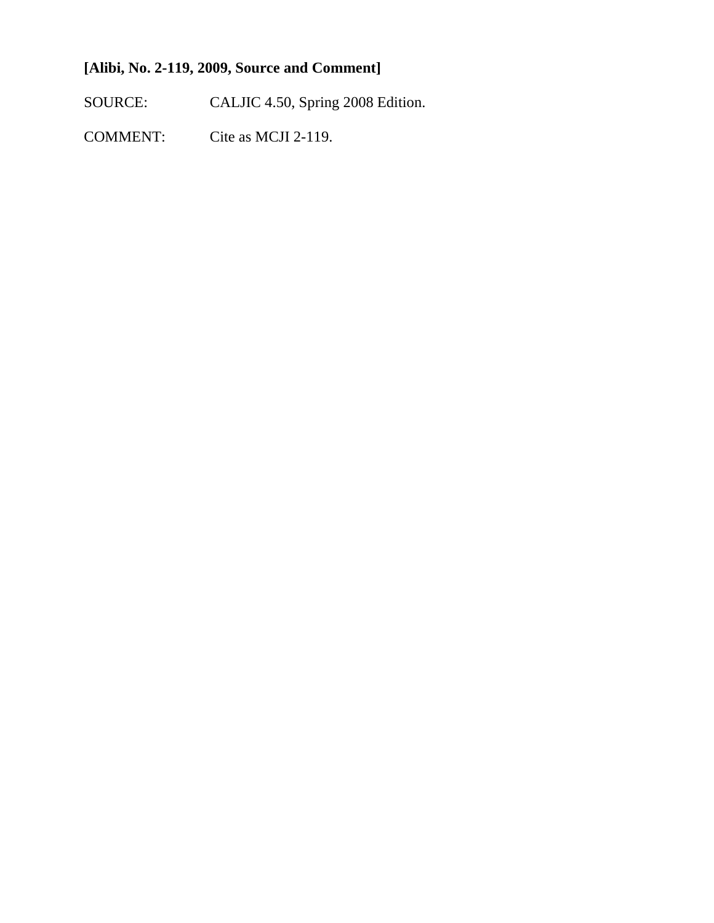# **[Alibi, No. 2-119, 2009, Source and Comment]**

SOURCE: CALJIC 4.50, Spring 2008 Edition.

COMMENT: Cite as MCJI 2-119.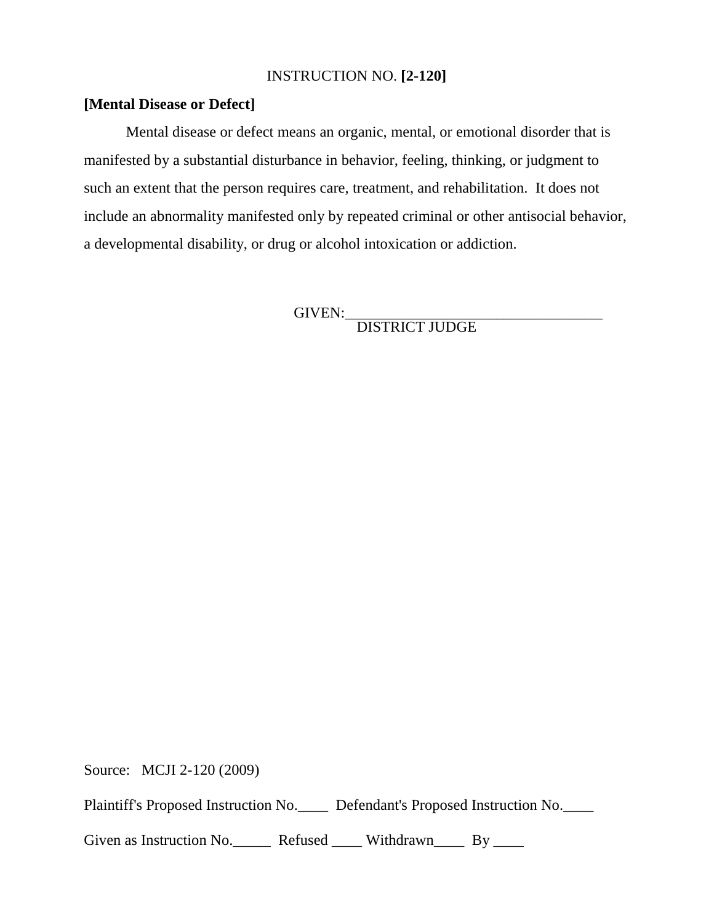#### INSTRUCTION NO. **[2-120]**

### **[Mental Disease or Defect]**

Mental disease or defect means an organic, mental, or emotional disorder that is manifested by a substantial disturbance in behavior, feeling, thinking, or judgment to such an extent that the person requires care, treatment, and rehabilitation. It does not include an abnormality manifested only by repeated criminal or other antisocial behavior, a developmental disability, or drug or alcohol intoxication or addiction.

GIVEN:\_\_\_\_\_\_\_\_\_\_\_\_\_\_\_\_\_\_\_\_\_\_\_\_\_\_\_\_\_\_\_\_\_\_ DISTRICT JUDGE

Source: MCJI 2-120 (2009)

Plaintiff's Proposed Instruction No.\_\_\_\_ Defendant's Proposed Instruction No.\_\_\_\_

Given as Instruction No. Refused \_\_\_\_ Withdrawn By \_\_\_\_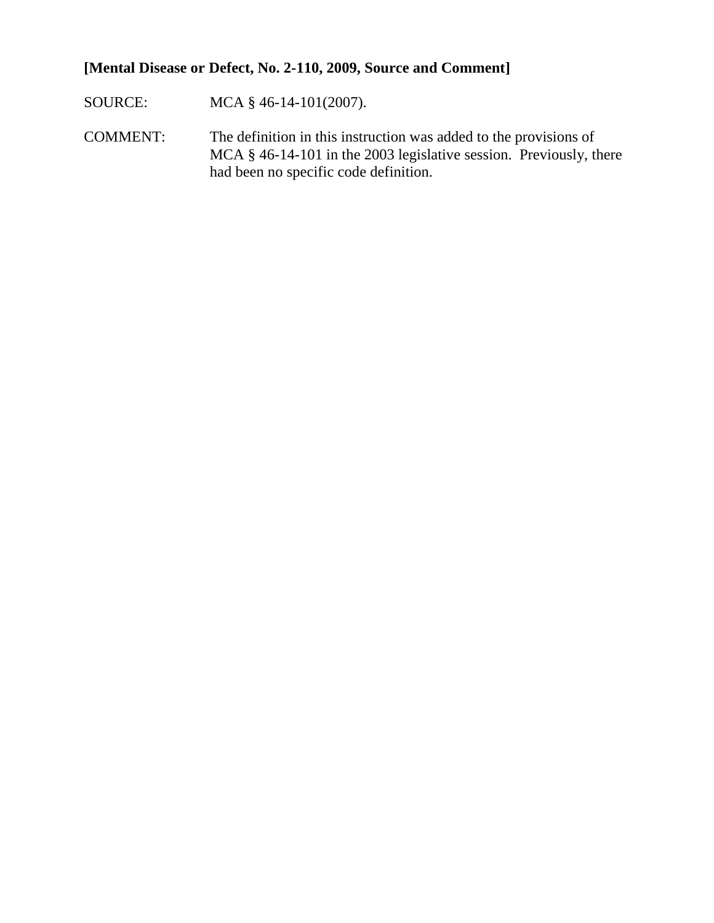# **[Mental Disease or Defect, No. 2-110, 2009, Source and Comment]**

- SOURCE: MCA § 46-14-101(2007).
- COMMENT: The definition in this instruction was added to the provisions of MCA § 46-14-101 in the 2003 legislative session. Previously, there had been no specific code definition.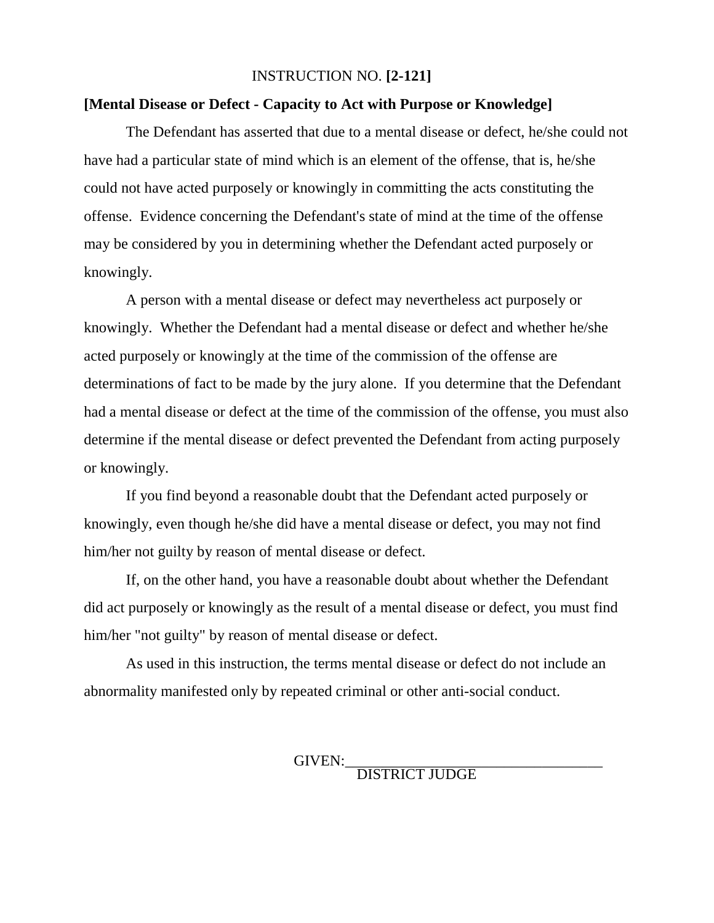#### INSTRUCTION NO. **[2-121]**

#### **[Mental Disease or Defect - Capacity to Act with Purpose or Knowledge]**

The Defendant has asserted that due to a mental disease or defect, he/she could not have had a particular state of mind which is an element of the offense, that is, he/she could not have acted purposely or knowingly in committing the acts constituting the offense. Evidence concerning the Defendant's state of mind at the time of the offense may be considered by you in determining whether the Defendant acted purposely or knowingly.

A person with a mental disease or defect may nevertheless act purposely or knowingly. Whether the Defendant had a mental disease or defect and whether he/she acted purposely or knowingly at the time of the commission of the offense are determinations of fact to be made by the jury alone. If you determine that the Defendant had a mental disease or defect at the time of the commission of the offense, you must also determine if the mental disease or defect prevented the Defendant from acting purposely or knowingly.

If you find beyond a reasonable doubt that the Defendant acted purposely or knowingly, even though he/she did have a mental disease or defect, you may not find him/her not guilty by reason of mental disease or defect.

If, on the other hand, you have a reasonable doubt about whether the Defendant did act purposely or knowingly as the result of a mental disease or defect, you must find him/her "not guilty" by reason of mental disease or defect.

As used in this instruction, the terms mental disease or defect do not include an abnormality manifested only by repeated criminal or other anti-social conduct.

GIVEN:\_\_\_\_\_\_\_\_\_\_\_\_\_\_\_\_\_\_\_\_\_\_\_\_\_\_\_\_\_\_\_\_\_\_ DISTRICT JUDGE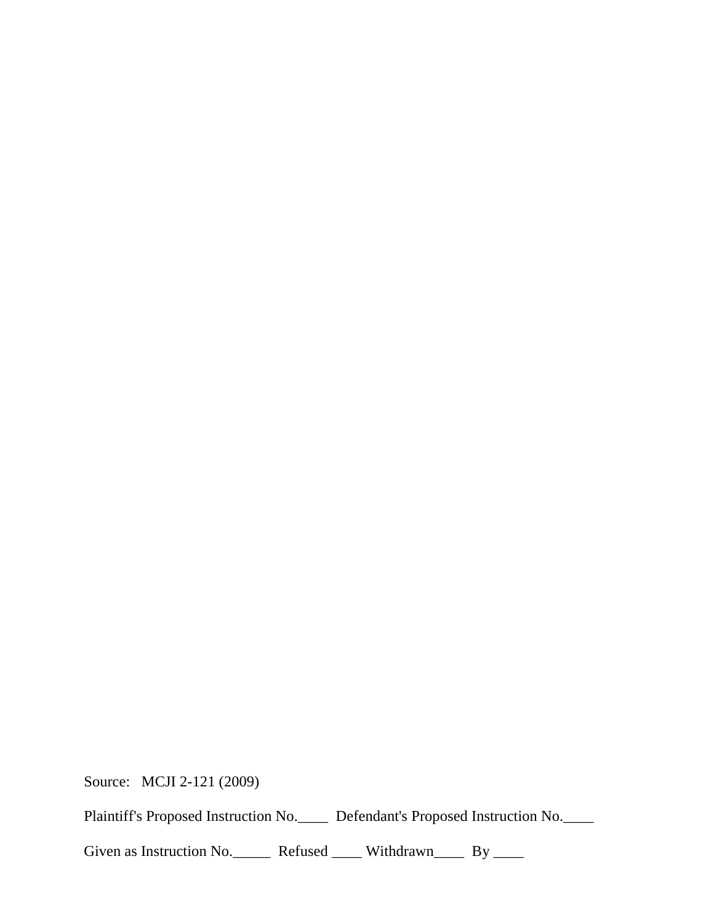Source: MCJI 2-121 (2009)

Plaintiff's Proposed Instruction No.\_\_\_\_ Defendant's Proposed Instruction No.\_\_\_\_

Given as Instruction No. Refused \_\_\_\_\_ Withdrawn\_\_\_\_\_ By \_\_\_\_\_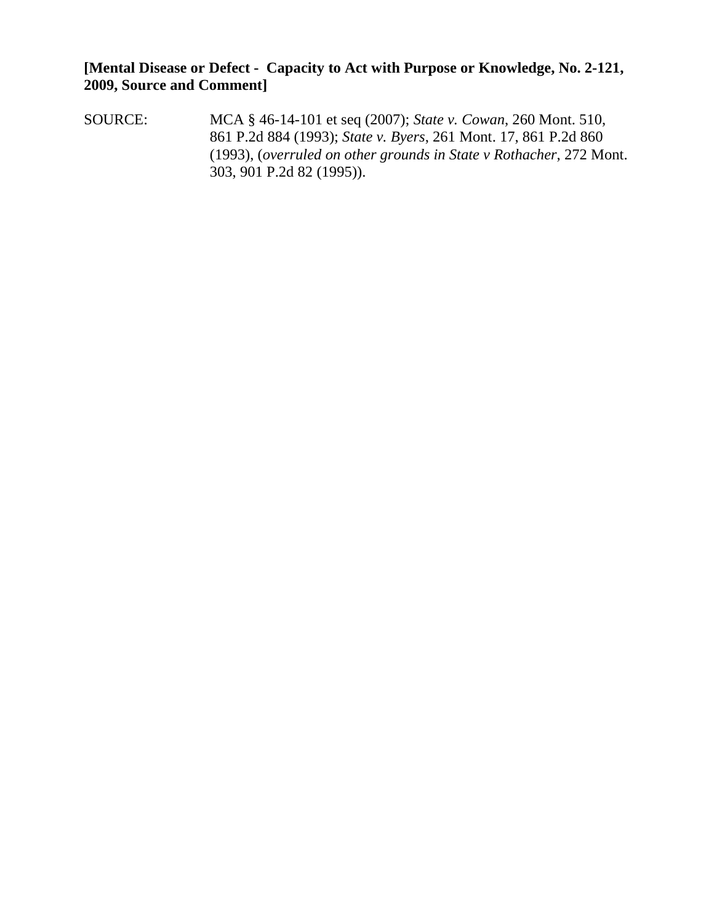**[Mental Disease or Defect - Capacity to Act with Purpose or Knowledge, No. 2-121, 2009, Source and Comment]**

SOURCE: MCA § 46-14-101 et seq (2007); *State v. Cowan*, 260 Mont. 510, 861 P.2d 884 (1993); *State v. Byers*, 261 Mont. 17, 861 P.2d 860 (1993), (*overruled on other grounds in State v Rothacher*, 272 Mont. 303, 901 P.2d 82 (1995)).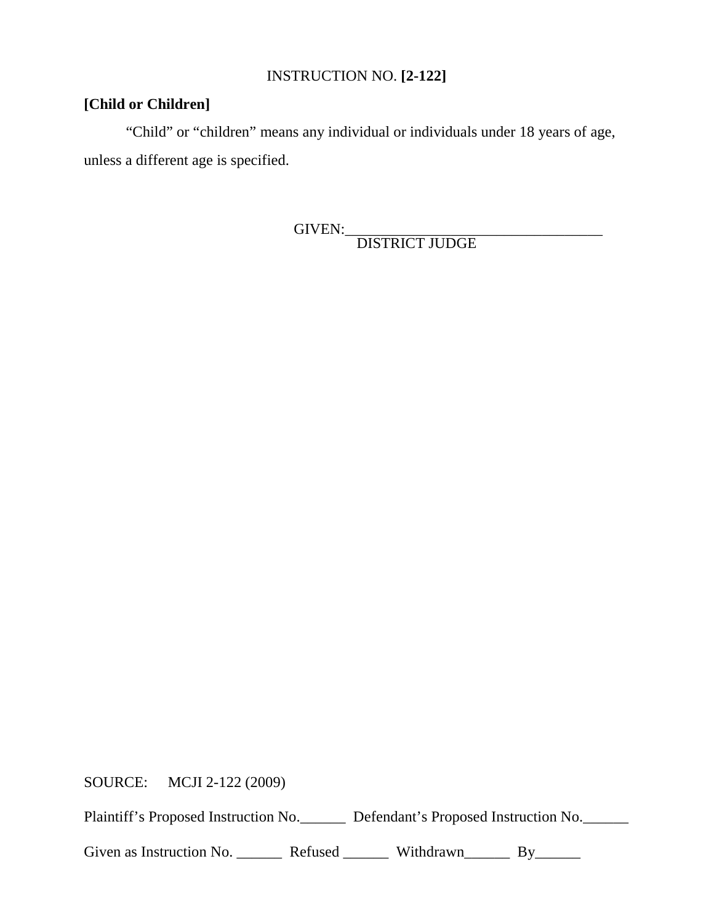# INSTRUCTION NO. **[2-122]**

# **[Child or Children]**

"Child" or "children" means any individual or individuals under 18 years of age, unless a different age is specified.

GIVEN:\_\_\_\_\_\_\_\_\_\_\_\_\_\_\_\_\_\_\_\_\_\_\_\_\_\_\_\_\_\_\_\_\_\_ DISTRICT JUDGE

SOURCE: MCJI 2-122 (2009)

Plaintiff's Proposed Instruction No. Defendant's Proposed Instruction No.

Given as Instruction No. \_\_\_\_\_\_\_\_ Refused \_\_\_\_\_\_\_ Withdrawn\_\_\_\_\_\_\_ By\_\_\_\_\_\_\_